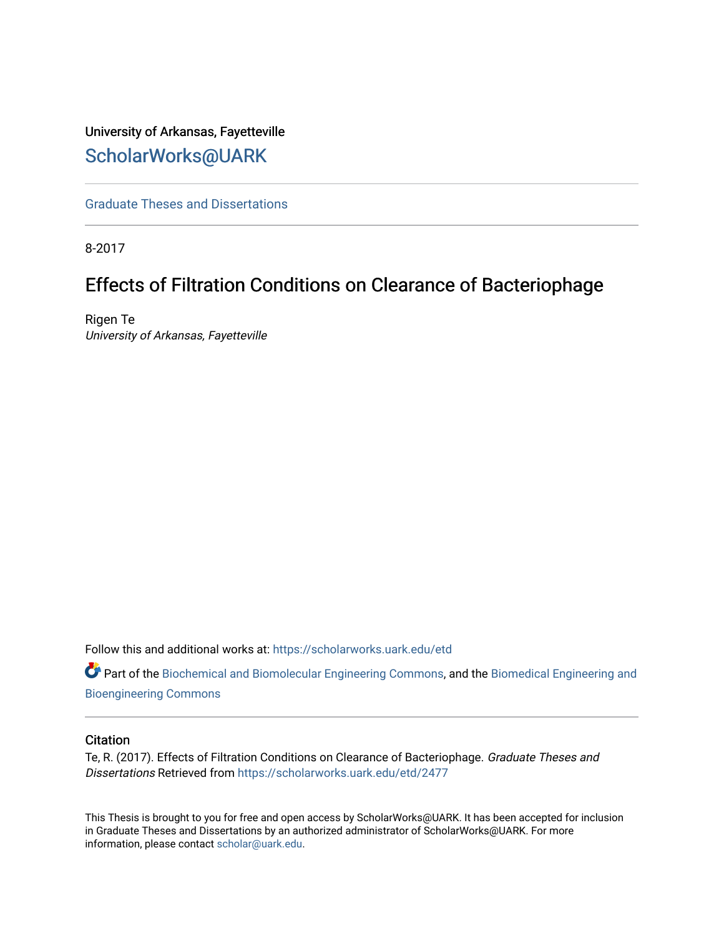# University of Arkansas, Fayetteville [ScholarWorks@UARK](https://scholarworks.uark.edu/)

[Graduate Theses and Dissertations](https://scholarworks.uark.edu/etd) 

8-2017

# Effects of Filtration Conditions on Clearance of Bacteriophage

Rigen Te University of Arkansas, Fayetteville

Follow this and additional works at: [https://scholarworks.uark.edu/etd](https://scholarworks.uark.edu/etd?utm_source=scholarworks.uark.edu%2Fetd%2F2477&utm_medium=PDF&utm_campaign=PDFCoverPages)

Part of the [Biochemical and Biomolecular Engineering Commons](http://network.bepress.com/hgg/discipline/241?utm_source=scholarworks.uark.edu%2Fetd%2F2477&utm_medium=PDF&utm_campaign=PDFCoverPages), and the [Biomedical Engineering and](http://network.bepress.com/hgg/discipline/229?utm_source=scholarworks.uark.edu%2Fetd%2F2477&utm_medium=PDF&utm_campaign=PDFCoverPages)  [Bioengineering Commons](http://network.bepress.com/hgg/discipline/229?utm_source=scholarworks.uark.edu%2Fetd%2F2477&utm_medium=PDF&utm_campaign=PDFCoverPages) 

#### **Citation**

Te, R. (2017). Effects of Filtration Conditions on Clearance of Bacteriophage. Graduate Theses and Dissertations Retrieved from [https://scholarworks.uark.edu/etd/2477](https://scholarworks.uark.edu/etd/2477?utm_source=scholarworks.uark.edu%2Fetd%2F2477&utm_medium=PDF&utm_campaign=PDFCoverPages)

This Thesis is brought to you for free and open access by ScholarWorks@UARK. It has been accepted for inclusion in Graduate Theses and Dissertations by an authorized administrator of ScholarWorks@UARK. For more information, please contact [scholar@uark.edu.](mailto:scholar@uark.edu)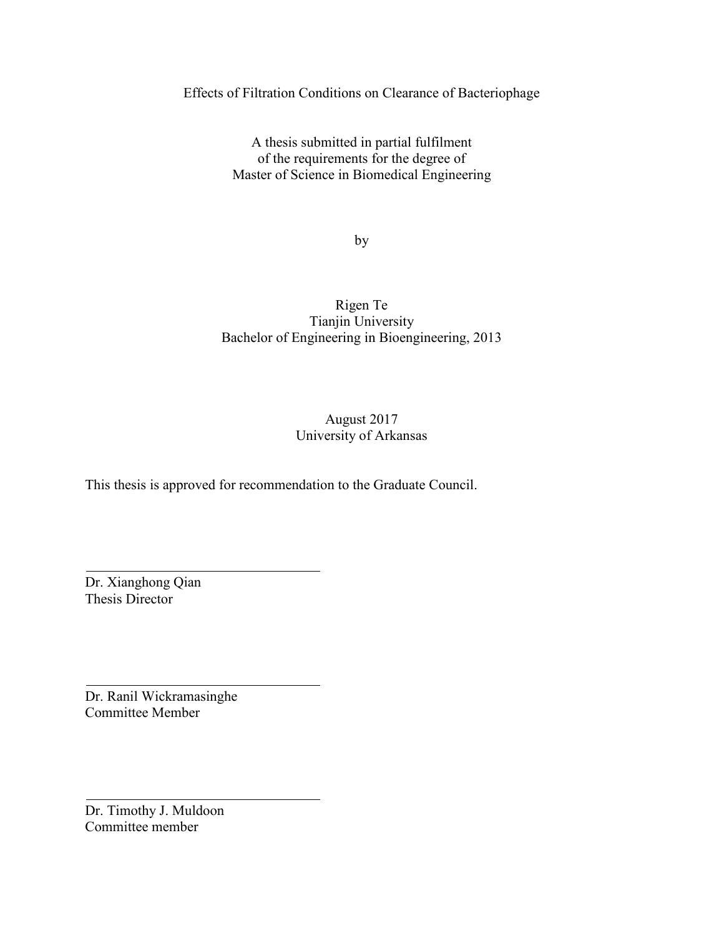Effects of Filtration Conditions on Clearance of Bacteriophage

A thesis submitted in partial fulfilment of the requirements for the degree of Master of Science in Biomedical Engineering

by

# Rigen Te Tianjin University Bachelor of Engineering in Bioengineering, 2013

# August 2017 University of Arkansas

This thesis is approved for recommendation to the Graduate Council.

Dr. Xianghong Qian Thesis Director

Dr. Ranil Wickramasinghe Committee Member

Dr. Timothy J. Muldoon Committee member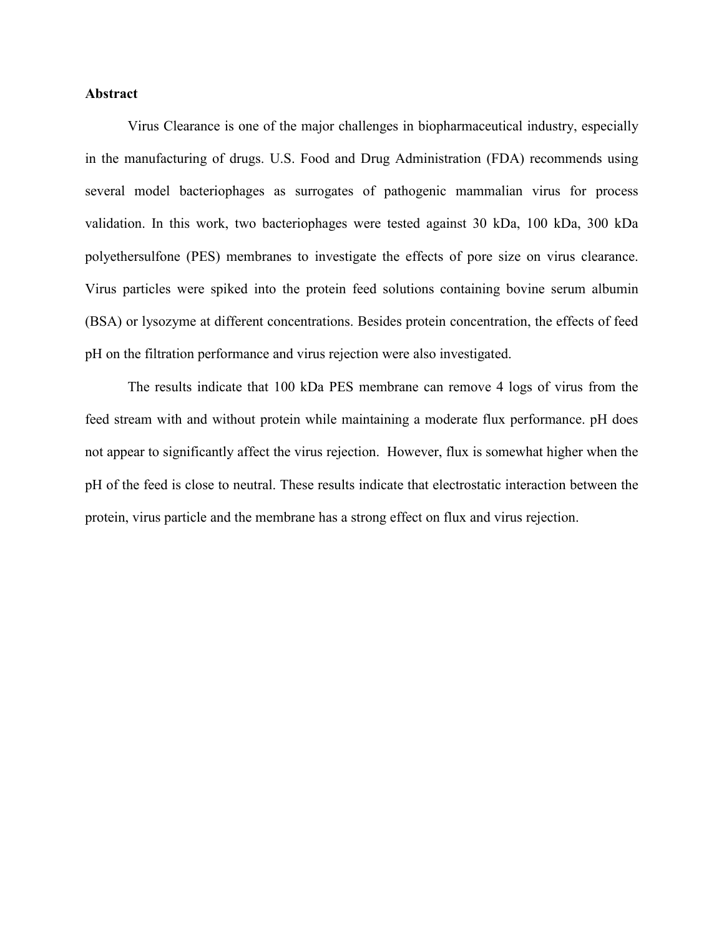#### **Abstract**

Virus Clearance is one of the major challenges in biopharmaceutical industry, especially in the manufacturing of drugs. U.S. Food and Drug Administration (FDA) recommends using several model bacteriophages as surrogates of pathogenic mammalian virus for process validation. In this work, two bacteriophages were tested against 30 kDa, 100 kDa, 300 kDa polyethersulfone (PES) membranes to investigate the effects of pore size on virus clearance. Virus particles were spiked into the protein feed solutions containing bovine serum albumin (BSA) or lysozyme at different concentrations. Besides protein concentration, the effects of feed pH on the filtration performance and virus rejection were also investigated.

The results indicate that 100 kDa PES membrane can remove 4 logs of virus from the feed stream with and without protein while maintaining a moderate flux performance. pH does not appear to significantly affect the virus rejection. However, flux is somewhat higher when the pH of the feed is close to neutral. These results indicate that electrostatic interaction between the protein, virus particle and the membrane has a strong effect on flux and virus rejection.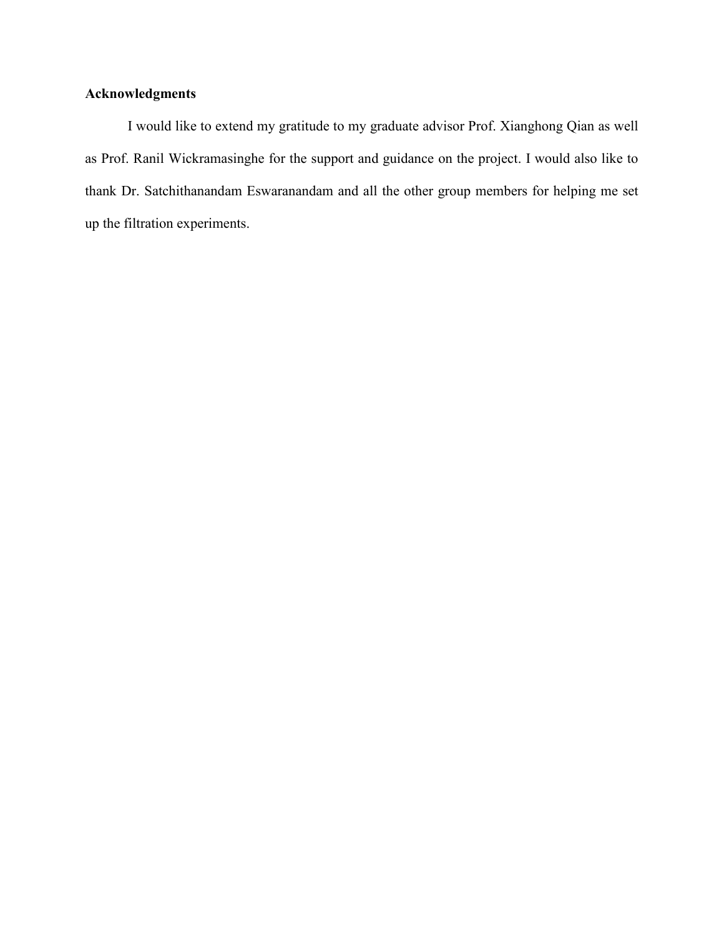# **Acknowledgments**

I would like to extend my gratitude to my graduate advisor Prof. Xianghong Qian as well as Prof. Ranil Wickramasinghe for the support and guidance on the project. I would also like to thank Dr. Satchithanandam Eswaranandam and all the other group members for helping me set up the filtration experiments.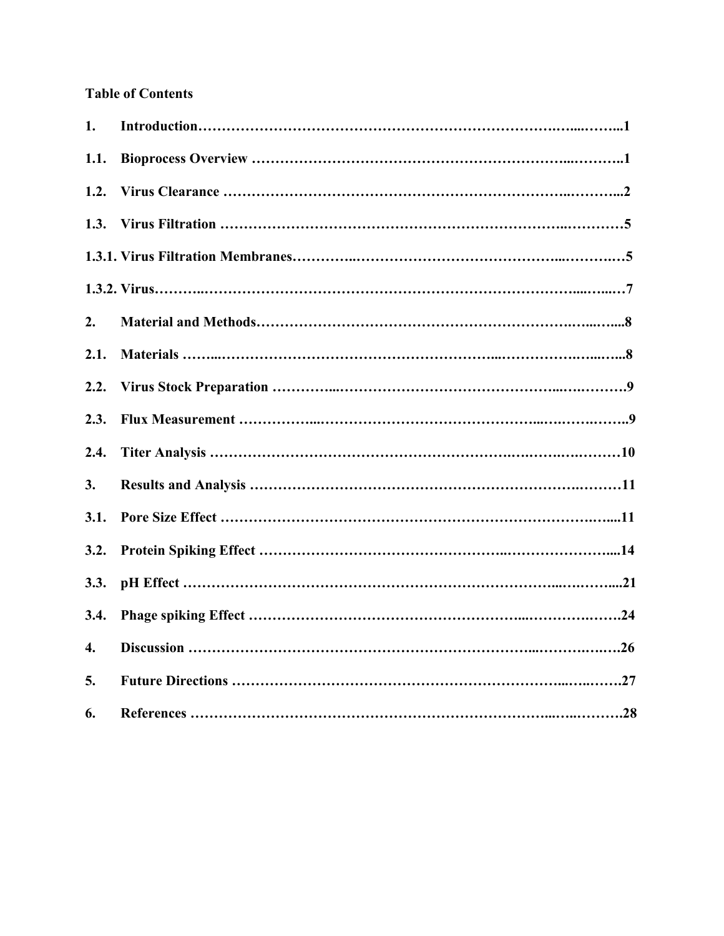# **Table of Contents**

| 1.   |  |
|------|--|
| 1.1. |  |
| 1.2. |  |
| 1.3. |  |
|      |  |
|      |  |
| 2.   |  |
| 2.1. |  |
| 2.2. |  |
| 2.3. |  |
| 2.4. |  |
| 3.   |  |
| 3.1. |  |
| 3.2. |  |
| 3.3. |  |
| 3.4. |  |
| 4.   |  |
| 5.   |  |
| 6.   |  |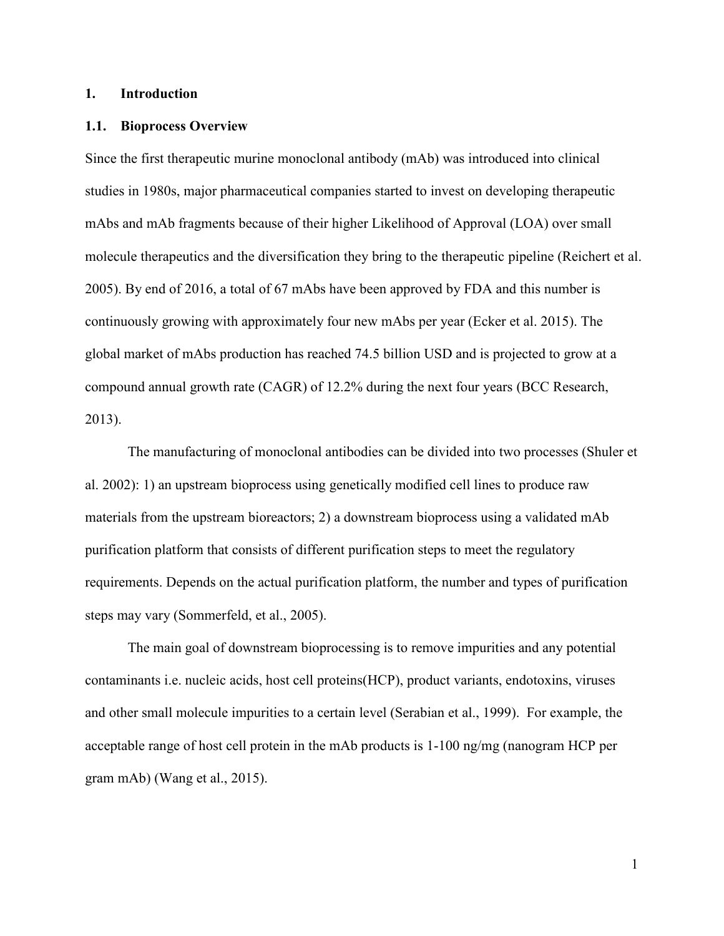## **1. Introduction**

#### **1.1. Bioprocess Overview**

Since the first therapeutic murine monoclonal antibody (mAb) was introduced into clinical studies in 1980s, major pharmaceutical companies started to invest on developing therapeutic mAbs and mAb fragments because of their higher Likelihood of Approval (LOA) over small molecule therapeutics and the diversification they bring to the therapeutic pipeline (Reichert et al. 2005). By end of 2016, a total of 67 mAbs have been approved by FDA and this number is continuously growing with approximately four new mAbs per year (Ecker et al. 2015). The global market of mAbs production has reached 74.5 billion USD and is projected to grow at a compound annual growth rate (CAGR) of 12.2% during the next four years (BCC Research, 2013).

The manufacturing of monoclonal antibodies can be divided into two processes (Shuler et al. 2002): 1) an upstream bioprocess using genetically modified cell lines to produce raw materials from the upstream bioreactors; 2) a downstream bioprocess using a validated mAb purification platform that consists of different purification steps to meet the regulatory requirements. Depends on the actual purification platform, the number and types of purification steps may vary (Sommerfeld, et al., 2005).

The main goal of downstream bioprocessing is to remove impurities and any potential contaminants i.e. nucleic acids, host cell proteins(HCP), product variants, endotoxins, viruses and other small molecule impurities to a certain level (Serabian et al., 1999). For example, the acceptable range of host cell protein in the mAb products is 1-100 ng/mg (nanogram HCP per gram mAb) (Wang et al., 2015).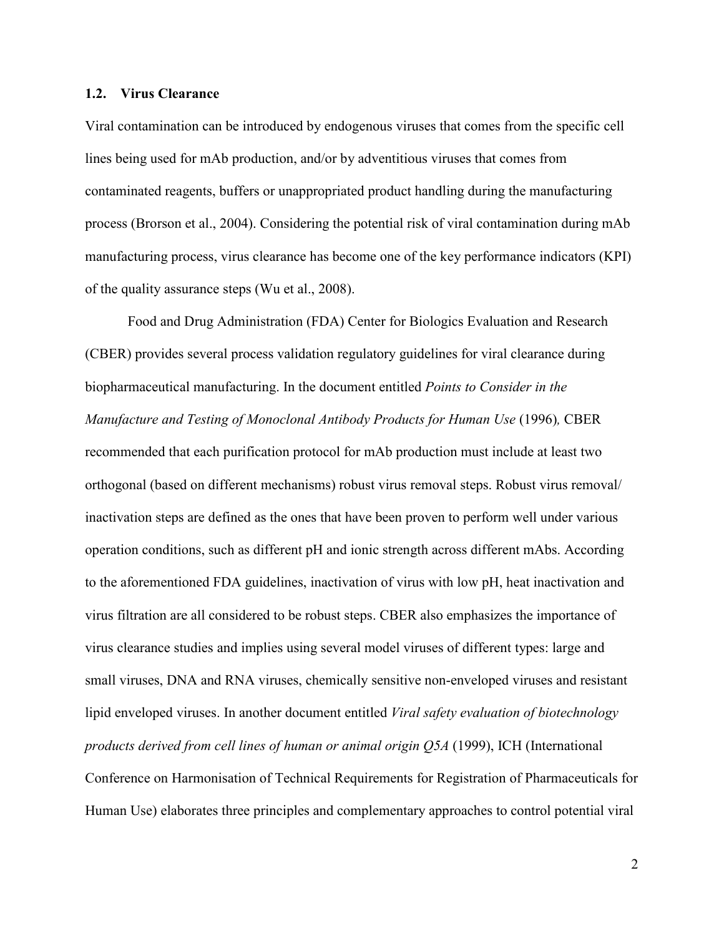#### **1.2. Virus Clearance**

Viral contamination can be introduced by endogenous viruses that comes from the specific cell lines being used for mAb production, and/or by adventitious viruses that comes from contaminated reagents, buffers or unappropriated product handling during the manufacturing process (Brorson et al., 2004). Considering the potential risk of viral contamination during mAb manufacturing process, virus clearance has become one of the key performance indicators (KPI) of the quality assurance steps (Wu et al., 2008).

Food and Drug Administration (FDA) Center for Biologics Evaluation and Research (CBER) provides several process validation regulatory guidelines for viral clearance during biopharmaceutical manufacturing. In the document entitled *Points to Consider in the Manufacture and Testing of Monoclonal Antibody Products for Human Use* (1996)*,* CBER recommended that each purification protocol for mAb production must include at least two orthogonal (based on different mechanisms) robust virus removal steps. Robust virus removal/ inactivation steps are defined as the ones that have been proven to perform well under various operation conditions, such as different pH and ionic strength across different mAbs. According to the aforementioned FDA guidelines, inactivation of virus with low pH, heat inactivation and virus filtration are all considered to be robust steps. CBER also emphasizes the importance of virus clearance studies and implies using several model viruses of different types: large and small viruses, DNA and RNA viruses, chemically sensitive non-enveloped viruses and resistant lipid enveloped viruses. In another document entitled *Viral safety evaluation of biotechnology products derived from cell lines of human or animal origin Q5A* (1999), ICH (International Conference on Harmonisation of Technical Requirements for Registration of Pharmaceuticals for Human Use) elaborates three principles and complementary approaches to control potential viral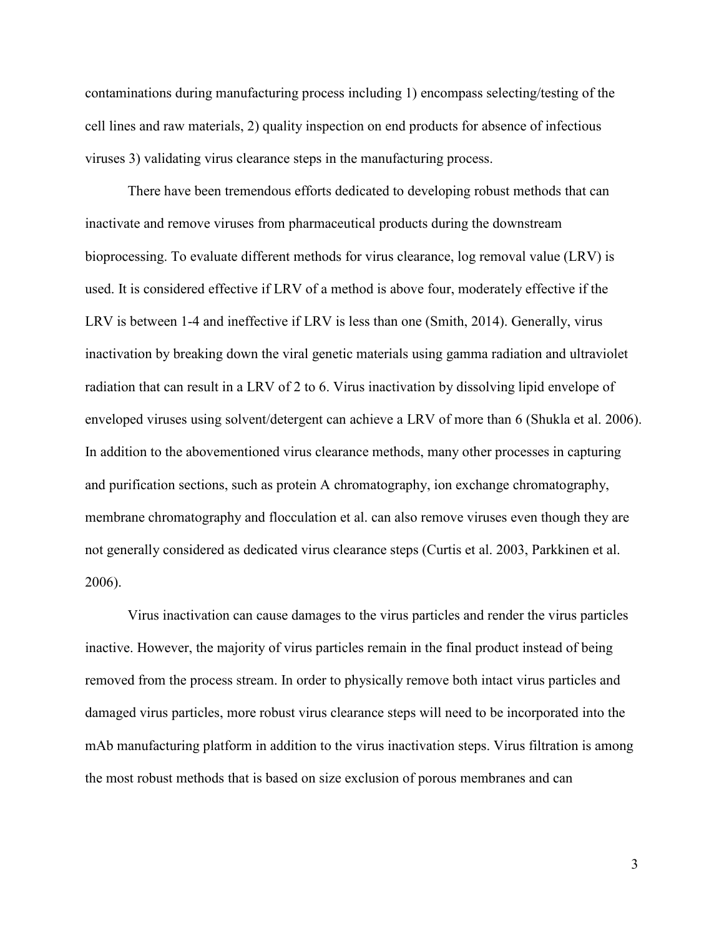contaminations during manufacturing process including 1) encompass selecting/testing of the cell lines and raw materials, 2) quality inspection on end products for absence of infectious viruses 3) validating virus clearance steps in the manufacturing process.

There have been tremendous efforts dedicated to developing robust methods that can inactivate and remove viruses from pharmaceutical products during the downstream bioprocessing. To evaluate different methods for virus clearance, log removal value (LRV) is used. It is considered effective if LRV of a method is above four, moderately effective if the LRV is between 1-4 and ineffective if LRV is less than one (Smith, 2014). Generally, virus inactivation by breaking down the viral genetic materials using gamma radiation and ultraviolet radiation that can result in a LRV of 2 to 6. Virus inactivation by dissolving lipid envelope of enveloped viruses using solvent/detergent can achieve a LRV of more than 6 (Shukla et al. 2006). In addition to the abovementioned virus clearance methods, many other processes in capturing and purification sections, such as protein A chromatography, ion exchange chromatography, membrane chromatography and flocculation et al. can also remove viruses even though they are not generally considered as dedicated virus clearance steps (Curtis et al. 2003, Parkkinen et al. 2006).

Virus inactivation can cause damages to the virus particles and render the virus particles inactive. However, the majority of virus particles remain in the final product instead of being removed from the process stream. In order to physically remove both intact virus particles and damaged virus particles, more robust virus clearance steps will need to be incorporated into the mAb manufacturing platform in addition to the virus inactivation steps. Virus filtration is among the most robust methods that is based on size exclusion of porous membranes and can

3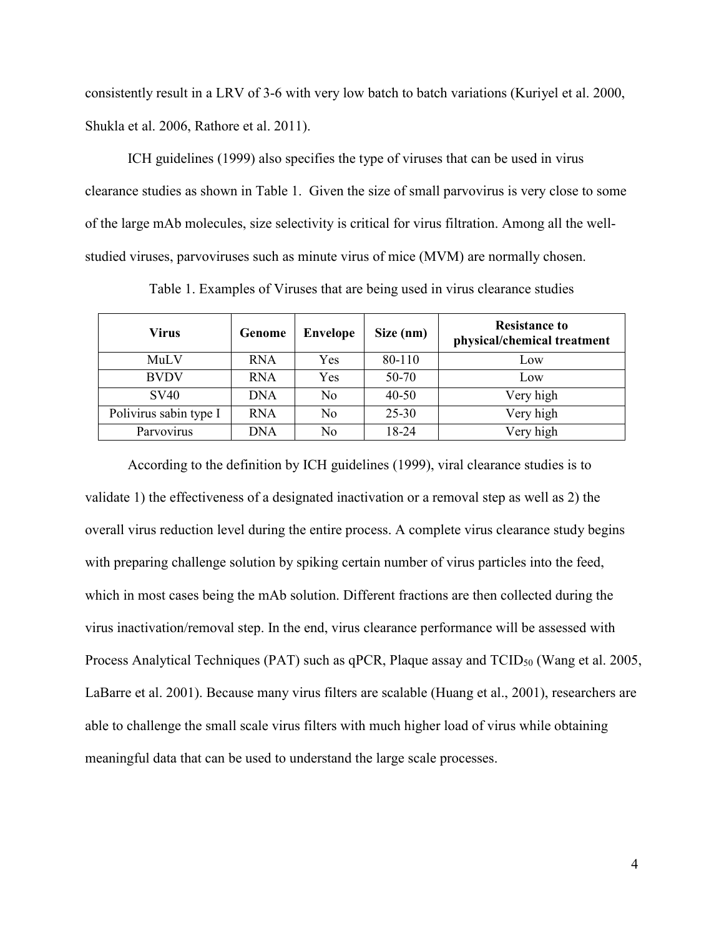consistently result in a LRV of 3-6 with very low batch to batch variations (Kuriyel et al. 2000, Shukla et al. 2006, Rathore et al. 2011).

ICH guidelines (1999) also specifies the type of viruses that can be used in virus clearance studies as shown in Table 1. Given the size of small parvovirus is very close to some of the large mAb molecules, size selectivity is critical for virus filtration. Among all the wellstudied viruses, parvoviruses such as minute virus of mice (MVM) are normally chosen.

| Virus                  | Genome     | <b>Envelope</b> | Size (nm) | <b>Resistance to</b><br>physical/chemical treatment |
|------------------------|------------|-----------------|-----------|-----------------------------------------------------|
| MuLV                   | <b>RNA</b> | Yes             | 80-110    | Low                                                 |
| <b>BVDV</b>            | <b>RNA</b> | Yes             | 50-70     | Low                                                 |
| <b>SV40</b>            | <b>DNA</b> | N <sub>0</sub>  | $40 - 50$ | Very high                                           |
| Polivirus sabin type I | <b>RNA</b> | No              | $25 - 30$ | Very high                                           |
| Parvovirus             | DNA        | No              | 18-24     | Very high                                           |

Table 1. Examples of Viruses that are being used in virus clearance studies

According to the definition by ICH guidelines (1999), viral clearance studies is to validate 1) the effectiveness of a designated inactivation or a removal step as well as 2) the overall virus reduction level during the entire process. A complete virus clearance study begins with preparing challenge solution by spiking certain number of virus particles into the feed, which in most cases being the mAb solution. Different fractions are then collected during the virus inactivation/removal step. In the end, virus clearance performance will be assessed with Process Analytical Techniques (PAT) such as  $qPCR$ , Plaque assay and  $TCID<sub>50</sub>$  (Wang et al. 2005, LaBarre et al. 2001). Because many virus filters are scalable (Huang et al., 2001), researchers are able to challenge the small scale virus filters with much higher load of virus while obtaining meaningful data that can be used to understand the large scale processes.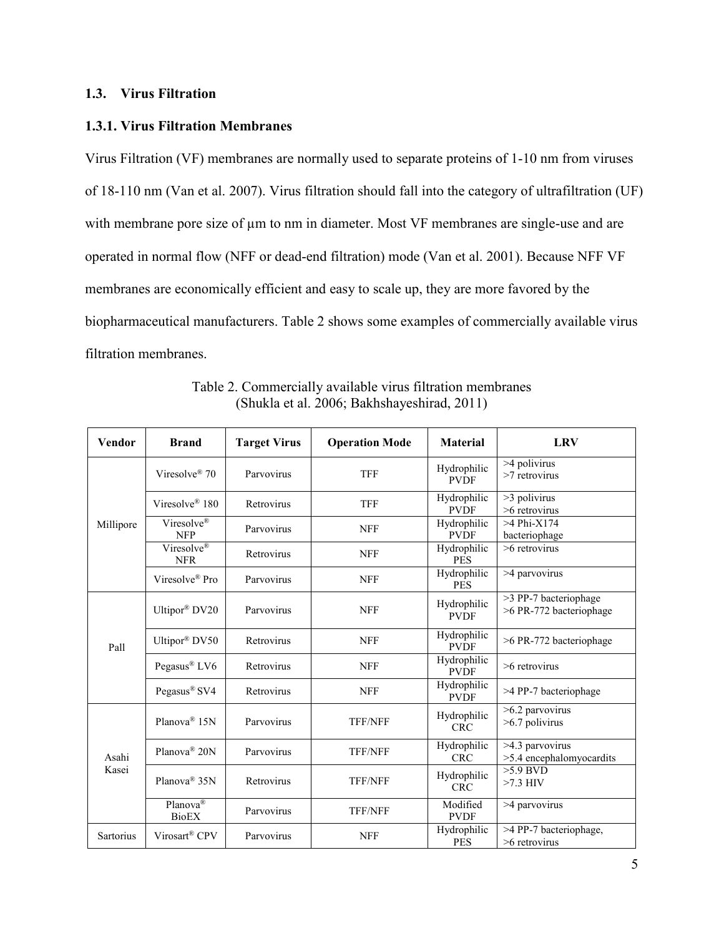# **1.3. Virus Filtration**

# **1.3.1. Virus Filtration Membranes**

Virus Filtration (VF) membranes are normally used to separate proteins of 1-10 nm from viruses of 18-110 nm (Van et al. 2007). Virus filtration should fall into the category of ultrafiltration (UF) with membrane pore size of  $\mu$ m to nm in diameter. Most VF membranes are single-use and are operated in normal flow (NFF or dead-end filtration) mode (Van et al. 2001). Because NFF VF membranes are economically efficient and easy to scale up, they are more favored by the biopharmaceutical manufacturers. Table 2 shows some examples of commercially available virus filtration membranes.

| Vendor           | <b>Brand</b>                           | <b>Target Virus</b> | <b>Operation Mode</b> | <b>Material</b>            | <b>LRV</b>                                       |
|------------------|----------------------------------------|---------------------|-----------------------|----------------------------|--------------------------------------------------|
|                  | Viresolve <sup>®</sup> 70              | Parvovirus          | <b>TFF</b>            | Hydrophilic<br><b>PVDF</b> | >4 polivirus<br>$>7$ retrovirus                  |
|                  | Viresolve® 180                         | Retrovirus          | <b>TFF</b>            | Hydrophilic<br><b>PVDF</b> | >3 polivirus<br>>6 retrovirus                    |
| Millipore        | Viresolve <sup>®</sup><br><b>NFP</b>   | Parvovirus          | <b>NFF</b>            | Hydrophilic<br><b>PVDF</b> | $>4$ Phi-X174<br>bacteriophage                   |
|                  | Viresolve®<br><b>NFR</b>               | Retrovirus          | <b>NFF</b>            | Hydrophilic<br><b>PES</b>  | $>6$ retrovirus                                  |
|                  | Viresolve® Pro                         | Parvovirus          | <b>NFF</b>            | Hydrophilic<br><b>PES</b>  | >4 parvovirus                                    |
|                  | Ultipor® DV20                          | Parvovirus          | <b>NFF</b>            | Hydrophilic<br><b>PVDF</b> | >3 PP-7 bacteriophage<br>>6 PR-772 bacteriophage |
| Pall             | Ultipor® DV50                          | Retrovirus          | <b>NFF</b>            | Hydrophilic<br><b>PVDF</b> | >6 PR-772 bacteriophage                          |
|                  | Pegasus <sup>®</sup> LV6               | Retrovirus          | <b>NFF</b>            | Hydrophilic<br><b>PVDF</b> | $>6$ retrovirus                                  |
|                  | Pegasus <sup>®</sup> SV4               | Retrovirus          | <b>NFF</b>            | Hydrophilic<br><b>PVDF</b> | >4 PP-7 bacteriophage                            |
|                  | Planova® 15N                           | Parvovirus          | <b>TFF/NFF</b>        | Hydrophilic<br><b>CRC</b>  | >6.2 parvovirus<br>>6.7 polivirus                |
| Asahi            | Planova® 20N                           | Parvovirus          | <b>TFF/NFF</b>        | Hydrophilic<br><b>CRC</b>  | >4.3 parvovirus<br>>5.4 encephalomyocardits      |
| Kasei            | Planova® 35N                           | Retrovirus          | <b>TFF/NFF</b>        | Hydrophilic<br><b>CRC</b>  | $>5.9$ BVD<br>$>7.3$ HIV                         |
|                  | Planova <sup>(8)</sup><br><b>BioEX</b> | Parvovirus          | <b>TFF/NFF</b>        | Modified<br><b>PVDF</b>    | >4 parvovirus                                    |
| <b>Sartorius</b> | Virosart® CPV                          | Parvovirus          | <b>NFF</b>            | Hydrophilic<br><b>PES</b>  | >4 PP-7 bacteriophage,<br>$>6$ retrovirus        |

Table 2. Commercially available virus filtration membranes (Shukla et al. 2006; Bakhshayeshirad, 2011)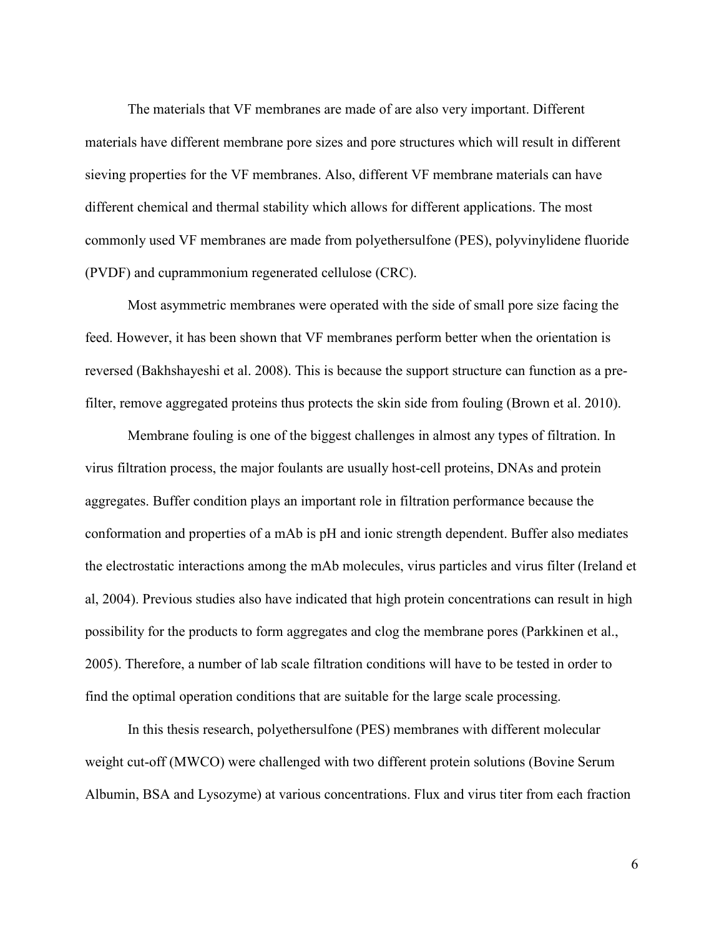The materials that VF membranes are made of are also very important. Different materials have different membrane pore sizes and pore structures which will result in different sieving properties for the VF membranes. Also, different VF membrane materials can have different chemical and thermal stability which allows for different applications. The most commonly used VF membranes are made from polyethersulfone (PES), polyvinylidene fluoride (PVDF) and cuprammonium regenerated cellulose (CRC).

Most asymmetric membranes were operated with the side of small pore size facing the feed. However, it has been shown that VF membranes perform better when the orientation is reversed (Bakhshayeshi et al. 2008). This is because the support structure can function as a prefilter, remove aggregated proteins thus protects the skin side from fouling (Brown et al. 2010).

Membrane fouling is one of the biggest challenges in almost any types of filtration. In virus filtration process, the major foulants are usually host-cell proteins, DNAs and protein aggregates. Buffer condition plays an important role in filtration performance because the conformation and properties of a mAb is pH and ionic strength dependent. Buffer also mediates the electrostatic interactions among the mAb molecules, virus particles and virus filter (Ireland et al, 2004). Previous studies also have indicated that high protein concentrations can result in high possibility for the products to form aggregates and clog the membrane pores (Parkkinen et al., 2005). Therefore, a number of lab scale filtration conditions will have to be tested in order to find the optimal operation conditions that are suitable for the large scale processing.

In this thesis research, polyethersulfone (PES) membranes with different molecular weight cut-off (MWCO) were challenged with two different protein solutions (Bovine Serum Albumin, BSA and Lysozyme) at various concentrations. Flux and virus titer from each fraction

6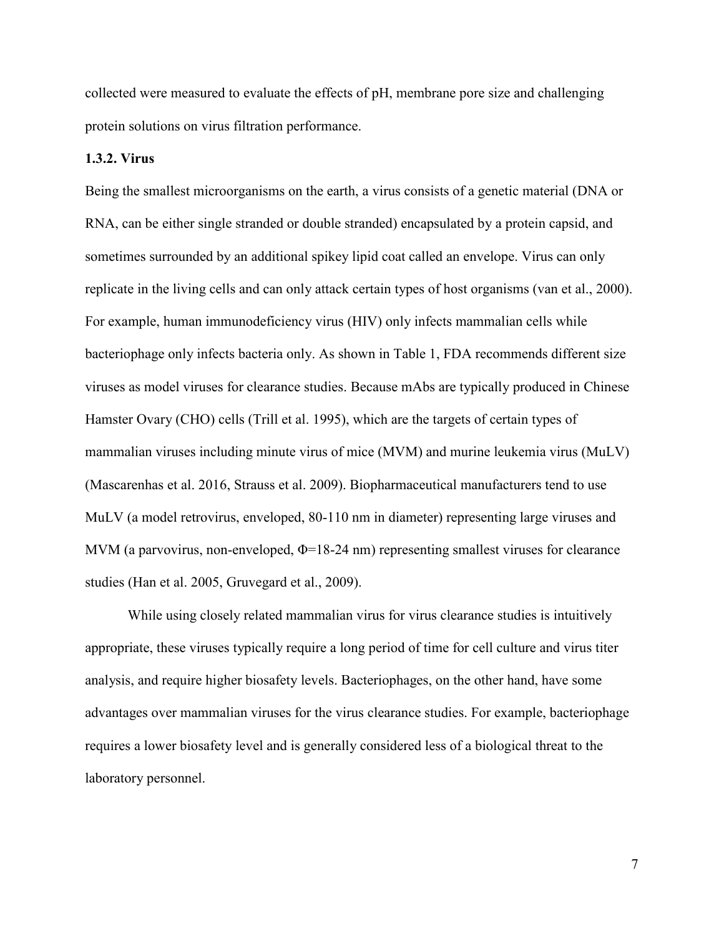collected were measured to evaluate the effects of pH, membrane pore size and challenging protein solutions on virus filtration performance.

# **1.3.2. Virus**

Being the smallest microorganisms on the earth, a virus consists of a genetic material (DNA or RNA, can be either single stranded or double stranded) encapsulated by a protein capsid, and sometimes surrounded by an additional spikey lipid coat called an envelope. Virus can only replicate in the living cells and can only attack certain types of host organisms (van et al., 2000). For example, human immunodeficiency virus (HIV) only infects mammalian cells while bacteriophage only infects bacteria only. As shown in Table 1, FDA recommends different size viruses as model viruses for clearance studies. Because mAbs are typically produced in Chinese Hamster Ovary (CHO) cells (Trill et al. 1995), which are the targets of certain types of mammalian viruses including minute virus of mice (MVM) and murine leukemia virus (MuLV) (Mascarenhas et al. 2016, Strauss et al. 2009). Biopharmaceutical manufacturers tend to use MuLV (a model retrovirus, enveloped, 80-110 nm in diameter) representing large viruses and MVM (a parvovirus, non-enveloped, Φ=18-24 nm) representing smallest viruses for clearance studies (Han et al. 2005, Gruvegard et al., 2009).

While using closely related mammalian virus for virus clearance studies is intuitively appropriate, these viruses typically require a long period of time for cell culture and virus titer analysis, and require higher biosafety levels. Bacteriophages, on the other hand, have some advantages over mammalian viruses for the virus clearance studies. For example, bacteriophage requires a lower biosafety level and is generally considered less of a biological threat to the laboratory personnel.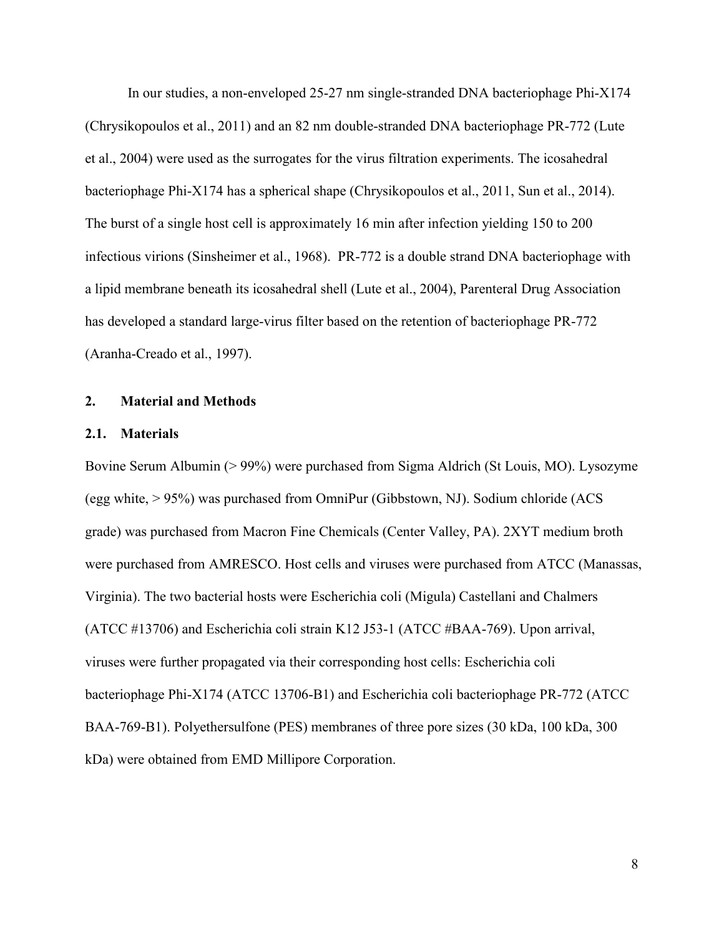In our studies, a non-enveloped 25-27 nm single-stranded DNA bacteriophage Phi-X174 (Chrysikopoulos et al., 2011) and an 82 nm double-stranded DNA bacteriophage PR-772 (Lute et al., 2004) were used as the surrogates for the virus filtration experiments. The icosahedral bacteriophage Phi-X174 has a spherical shape (Chrysikopoulos et al., 2011, Sun et al., 2014). The burst of a single host cell is approximately 16 min after infection yielding 150 to 200 infectious virions (Sinsheimer et al., 1968). PR-772 is a double strand DNA bacteriophage with a lipid membrane beneath its icosahedral shell (Lute et al., 2004), Parenteral Drug Association has developed a standard large-virus filter based on the retention of bacteriophage PR-772 (Aranha-Creado et al., 1997).

#### **2. Material and Methods**

#### **2.1. Materials**

Bovine Serum Albumin (> 99%) were purchased from Sigma Aldrich (St Louis, MO). Lysozyme (egg white,  $> 95\%$ ) was purchased from OmniPur (Gibbstown, NJ). Sodium chloride (ACS) grade) was purchased from Macron Fine Chemicals (Center Valley, PA). 2XYT medium broth were purchased from AMRESCO. Host cells and viruses were purchased from ATCC (Manassas, Virginia). The two bacterial hosts were Escherichia coli (Migula) Castellani and Chalmers (ATCC #13706) and Escherichia coli strain K12 J53-1 (ATCC #BAA-769). Upon arrival, viruses were further propagated via their corresponding host cells: Escherichia coli bacteriophage Phi-X174 (ATCC 13706-B1) and Escherichia coli bacteriophage PR-772 (ATCC BAA-769-B1). Polyethersulfone (PES) membranes of three pore sizes (30 kDa, 100 kDa, 300 kDa) were obtained from EMD Millipore Corporation.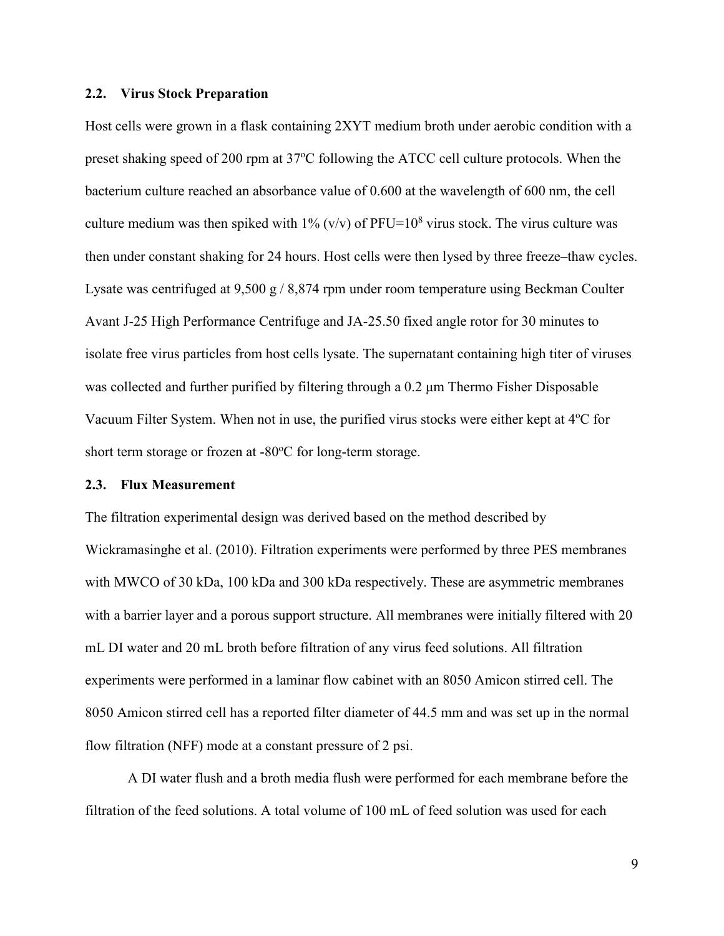#### **2.2. Virus Stock Preparation**

Host cells were grown in a flask containing 2XYT medium broth under aerobic condition with a preset shaking speed of 200 rpm at  $37^{\circ}$ C following the ATCC cell culture protocols. When the bacterium culture reached an absorbance value of 0.600 at the wavelength of 600 nm, the cell culture medium was then spiked with  $1\%$  (v/v) of PFU= $10^8$  virus stock. The virus culture was then under constant shaking for 24 hours. Host cells were then lysed by three freeze–thaw cycles. Lysate was centrifuged at 9,500 g / 8,874 rpm under room temperature using Beckman Coulter Avant J-25 High Performance Centrifuge and JA-25.50 fixed angle rotor for 30 minutes to isolate free virus particles from host cells lysate. The supernatant containing high titer of viruses was collected and further purified by filtering through a 0.2 μm Thermo Fisher Disposable Vacuum Filter System. When not in use, the purified virus stocks were either kept at 4<sup>o</sup>C for short term storage or frozen at  $-80^{\circ}$ C for long-term storage.

#### **2.3. Flux Measurement**

The filtration experimental design was derived based on the method described by Wickramasinghe et al. (2010). Filtration experiments were performed by three PES membranes with MWCO of 30 kDa, 100 kDa and 300 kDa respectively. These are asymmetric membranes with a barrier layer and a porous support structure. All membranes were initially filtered with 20 mL DI water and 20 mL broth before filtration of any virus feed solutions. All filtration experiments were performed in a laminar flow cabinet with an 8050 Amicon stirred cell. The 8050 Amicon stirred cell has a reported filter diameter of 44.5 mm and was set up in the normal flow filtration (NFF) mode at a constant pressure of 2 psi.

A DI water flush and a broth media flush were performed for each membrane before the filtration of the feed solutions. A total volume of 100 mL of feed solution was used for each

9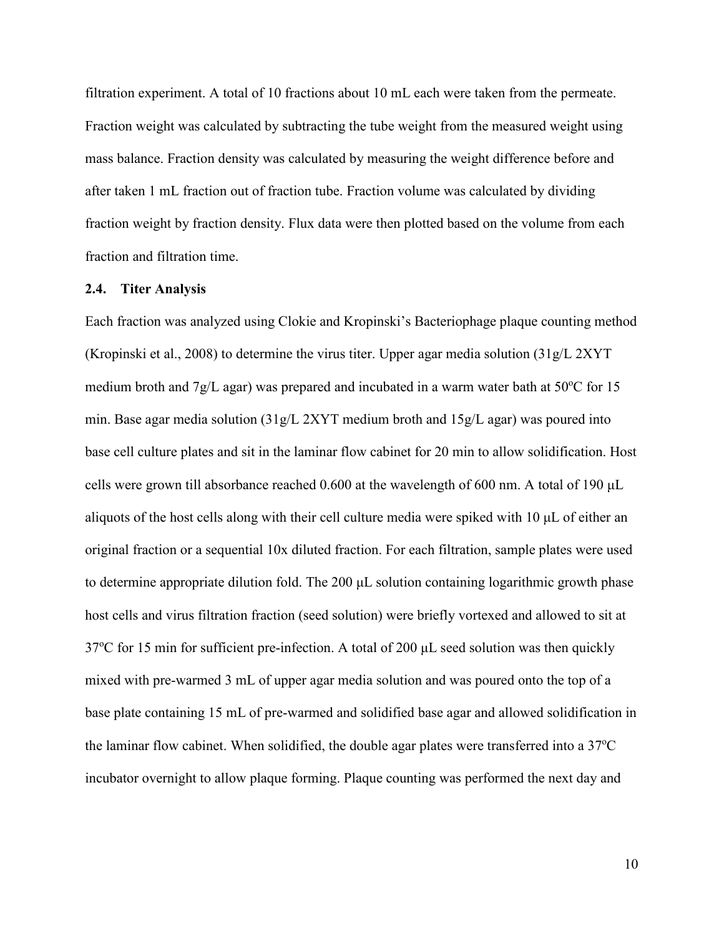filtration experiment. A total of 10 fractions about 10 mL each were taken from the permeate. Fraction weight was calculated by subtracting the tube weight from the measured weight using mass balance. Fraction density was calculated by measuring the weight difference before and after taken 1 mL fraction out of fraction tube. Fraction volume was calculated by dividing fraction weight by fraction density. Flux data were then plotted based on the volume from each fraction and filtration time.

#### **2.4. Titer Analysis**

Each fraction was analyzed using Clokie and Kropinski's Bacteriophage plaque counting method (Kropinski et al., 2008) to determine the virus titer. Upper agar media solution (31g/L 2XYT medium broth and 7g/L agar) was prepared and incubated in a warm water bath at  $50^{\circ}$ C for 15 min. Base agar media solution (31g/L 2XYT medium broth and 15g/L agar) was poured into base cell culture plates and sit in the laminar flow cabinet for 20 min to allow solidification. Host cells were grown till absorbance reached 0.600 at the wavelength of 600 nm. A total of 190 μL aliquots of the host cells along with their cell culture media were spiked with 10 μL of either an original fraction or a sequential 10x diluted fraction. For each filtration, sample plates were used to determine appropriate dilution fold. The 200 μL solution containing logarithmic growth phase host cells and virus filtration fraction (seed solution) were briefly vortexed and allowed to sit at 37<sup>o</sup>C for 15 min for sufficient pre-infection. A total of 200  $\mu$ L seed solution was then quickly mixed with pre-warmed 3 mL of upper agar media solution and was poured onto the top of a base plate containing 15 mL of pre-warmed and solidified base agar and allowed solidification in the laminar flow cabinet. When solidified, the double agar plates were transferred into a  $37^{\circ}$ C incubator overnight to allow plaque forming. Plaque counting was performed the next day and

10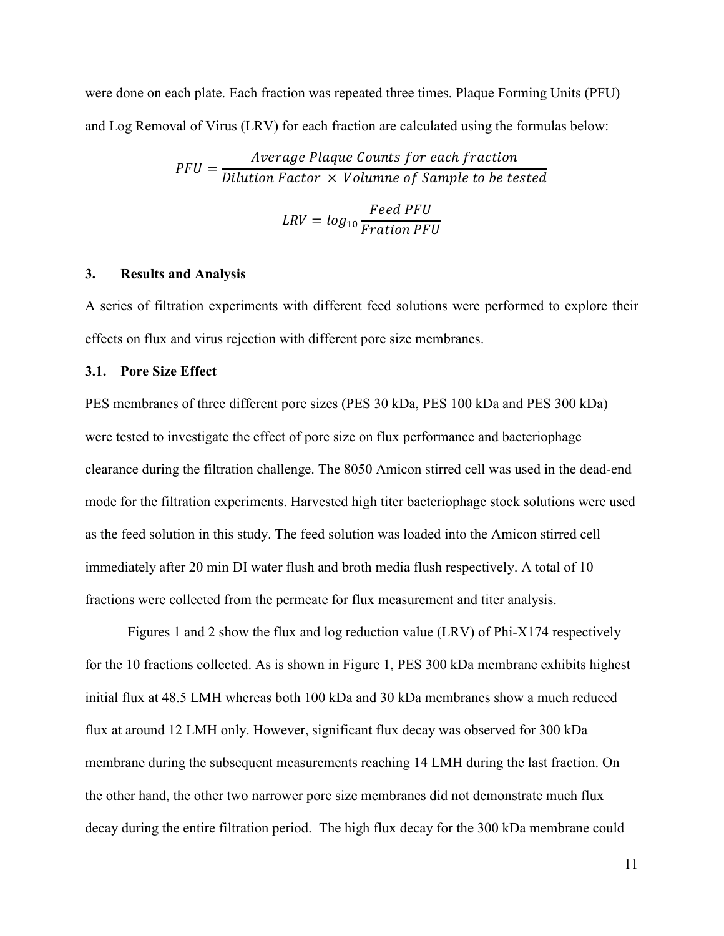were done on each plate. Each fraction was repeated three times. Plaque Forming Units (PFU) and Log Removal of Virus (LRV) for each fraction are calculated using the formulas below:

> $PFU =$ Average Plaque Counts for each fraction Dilution Factor  $\,\times\,$  Volumne of Sample to be tested  $LRV = log_{10}$ Feed PFU Fration PFU

# **3. Results and Analysis**

A series of filtration experiments with different feed solutions were performed to explore their effects on flux and virus rejection with different pore size membranes.

#### **3.1. Pore Size Effect**

PES membranes of three different pore sizes (PES 30 kDa, PES 100 kDa and PES 300 kDa) were tested to investigate the effect of pore size on flux performance and bacteriophage clearance during the filtration challenge. The 8050 Amicon stirred cell was used in the dead-end mode for the filtration experiments. Harvested high titer bacteriophage stock solutions were used as the feed solution in this study. The feed solution was loaded into the Amicon stirred cell immediately after 20 min DI water flush and broth media flush respectively. A total of 10 fractions were collected from the permeate for flux measurement and titer analysis.

Figures 1 and 2 show the flux and log reduction value (LRV) of Phi-X174 respectively for the 10 fractions collected. As is shown in Figure 1, PES 300 kDa membrane exhibits highest initial flux at 48.5 LMH whereas both 100 kDa and 30 kDa membranes show a much reduced flux at around 12 LMH only. However, significant flux decay was observed for 300 kDa membrane during the subsequent measurements reaching 14 LMH during the last fraction. On the other hand, the other two narrower pore size membranes did not demonstrate much flux decay during the entire filtration period. The high flux decay for the 300 kDa membrane could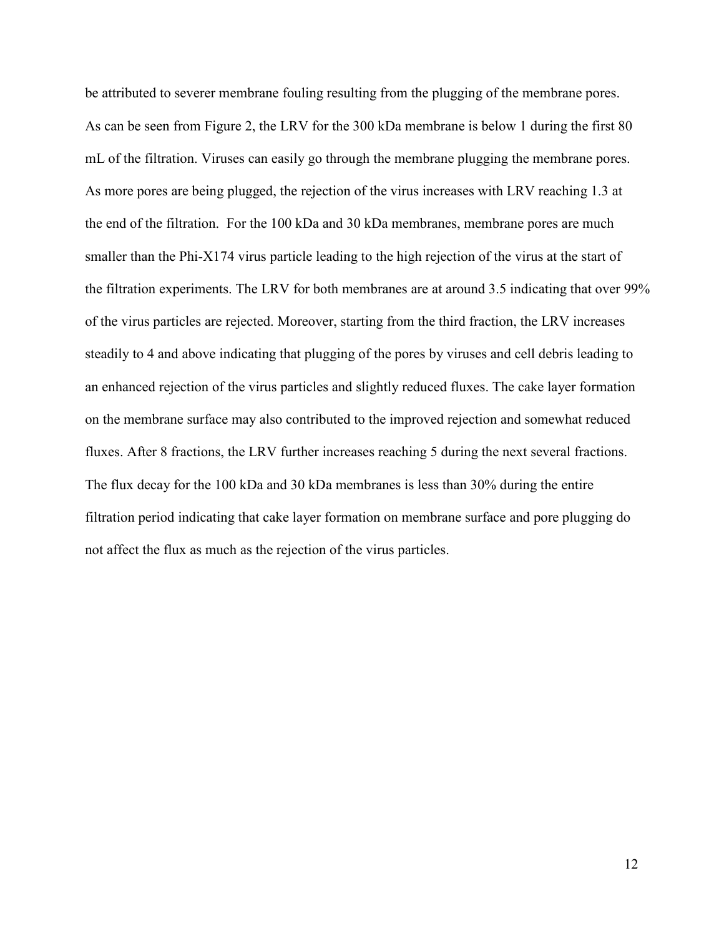be attributed to severer membrane fouling resulting from the plugging of the membrane pores. As can be seen from Figure 2, the LRV for the 300 kDa membrane is below 1 during the first 80 mL of the filtration. Viruses can easily go through the membrane plugging the membrane pores. As more pores are being plugged, the rejection of the virus increases with LRV reaching 1.3 at the end of the filtration. For the 100 kDa and 30 kDa membranes, membrane pores are much smaller than the Phi-X174 virus particle leading to the high rejection of the virus at the start of the filtration experiments. The LRV for both membranes are at around 3.5 indicating that over 99% of the virus particles are rejected. Moreover, starting from the third fraction, the LRV increases steadily to 4 and above indicating that plugging of the pores by viruses and cell debris leading to an enhanced rejection of the virus particles and slightly reduced fluxes. The cake layer formation on the membrane surface may also contributed to the improved rejection and somewhat reduced fluxes. After 8 fractions, the LRV further increases reaching 5 during the next several fractions. The flux decay for the 100 kDa and 30 kDa membranes is less than 30% during the entire filtration period indicating that cake layer formation on membrane surface and pore plugging do not affect the flux as much as the rejection of the virus particles.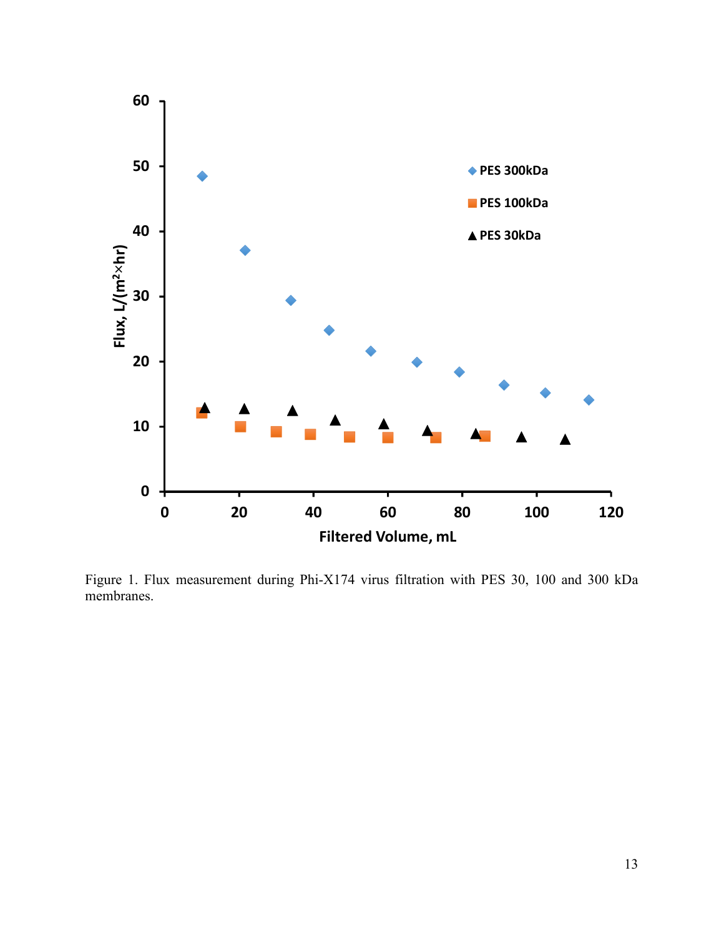

Figure 1. Flux measurement during Phi-X174 virus filtration with PES 30, 100 and 300 kDa membranes.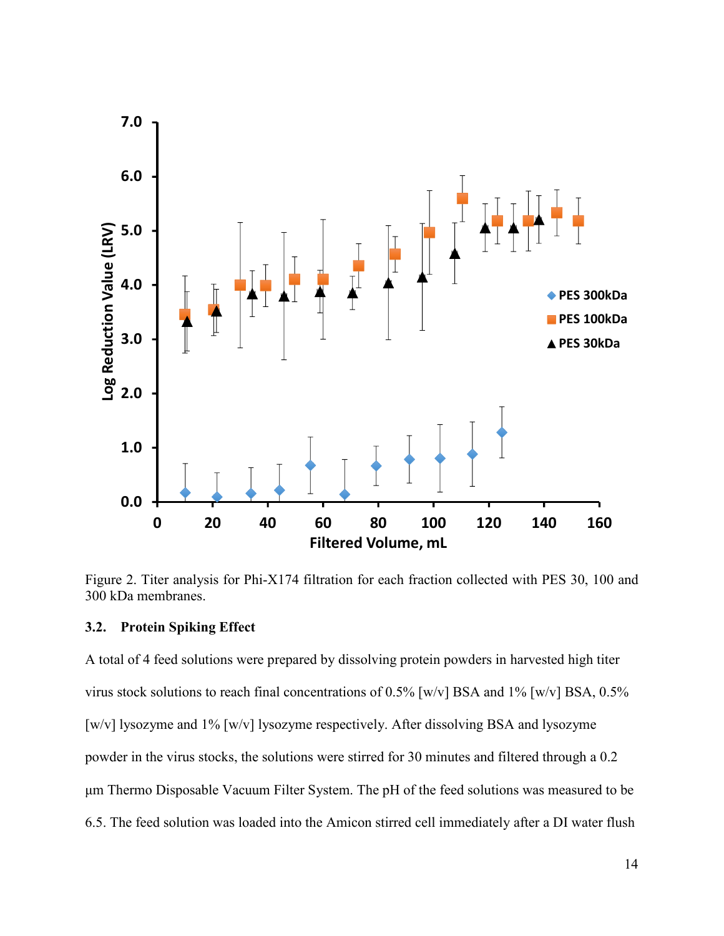

Figure 2. Titer analysis for Phi-X174 filtration for each fraction collected with PES 30, 100 and 300 kDa membranes.

## **3.2. Protein Spiking Effect**

A total of 4 feed solutions were prepared by dissolving protein powders in harvested high titer virus stock solutions to reach final concentrations of 0.5% [w/v] BSA and 1% [w/v] BSA, 0.5% [w/v] lysozyme and 1% [w/v] lysozyme respectively. After dissolving BSA and lysozyme powder in the virus stocks, the solutions were stirred for 30 minutes and filtered through a 0.2 μm Thermo Disposable Vacuum Filter System. The pH of the feed solutions was measured to be 6.5. The feed solution was loaded into the Amicon stirred cell immediately after a DI water flush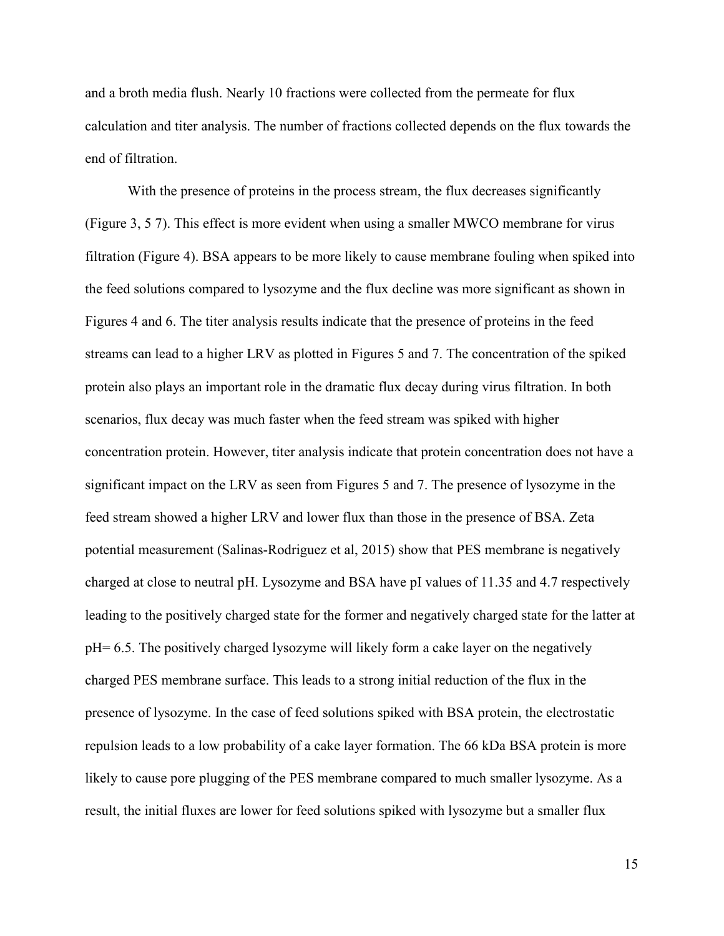and a broth media flush. Nearly 10 fractions were collected from the permeate for flux calculation and titer analysis. The number of fractions collected depends on the flux towards the end of filtration.

With the presence of proteins in the process stream, the flux decreases significantly (Figure 3, 5 7). This effect is more evident when using a smaller MWCO membrane for virus filtration (Figure 4). BSA appears to be more likely to cause membrane fouling when spiked into the feed solutions compared to lysozyme and the flux decline was more significant as shown in Figures 4 and 6. The titer analysis results indicate that the presence of proteins in the feed streams can lead to a higher LRV as plotted in Figures 5 and 7. The concentration of the spiked protein also plays an important role in the dramatic flux decay during virus filtration. In both scenarios, flux decay was much faster when the feed stream was spiked with higher concentration protein. However, titer analysis indicate that protein concentration does not have a significant impact on the LRV as seen from Figures 5 and 7. The presence of lysozyme in the feed stream showed a higher LRV and lower flux than those in the presence of BSA. Zeta potential measurement (Salinas-Rodriguez et al, 2015) show that PES membrane is negatively charged at close to neutral pH. Lysozyme and BSA have pI values of 11.35 and 4.7 respectively leading to the positively charged state for the former and negatively charged state for the latter at pH= 6.5. The positively charged lysozyme will likely form a cake layer on the negatively charged PES membrane surface. This leads to a strong initial reduction of the flux in the presence of lysozyme. In the case of feed solutions spiked with BSA protein, the electrostatic repulsion leads to a low probability of a cake layer formation. The 66 kDa BSA protein is more likely to cause pore plugging of the PES membrane compared to much smaller lysozyme. As a result, the initial fluxes are lower for feed solutions spiked with lysozyme but a smaller flux

15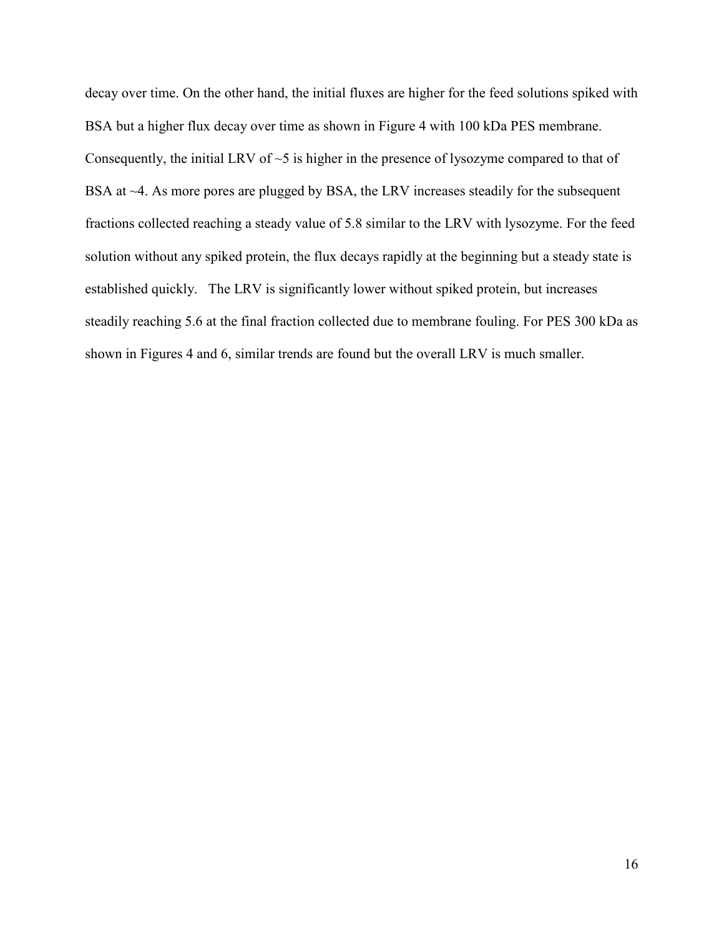decay over time. On the other hand, the initial fluxes are higher for the feed solutions spiked with BSA but a higher flux decay over time as shown in Figure 4 with 100 kDa PES membrane. Consequently, the initial LRV of  $\sim$ 5 is higher in the presence of lysozyme compared to that of BSA at ~4. As more pores are plugged by BSA, the LRV increases steadily for the subsequent fractions collected reaching a steady value of 5.8 similar to the LRV with lysozyme. For the feed solution without any spiked protein, the flux decays rapidly at the beginning but a steady state is established quickly. The LRV is significantly lower without spiked protein, but increases steadily reaching 5.6 at the final fraction collected due to membrane fouling. For PES 300 kDa as shown in Figures 4 and 6, similar trends are found but the overall LRV is much smaller.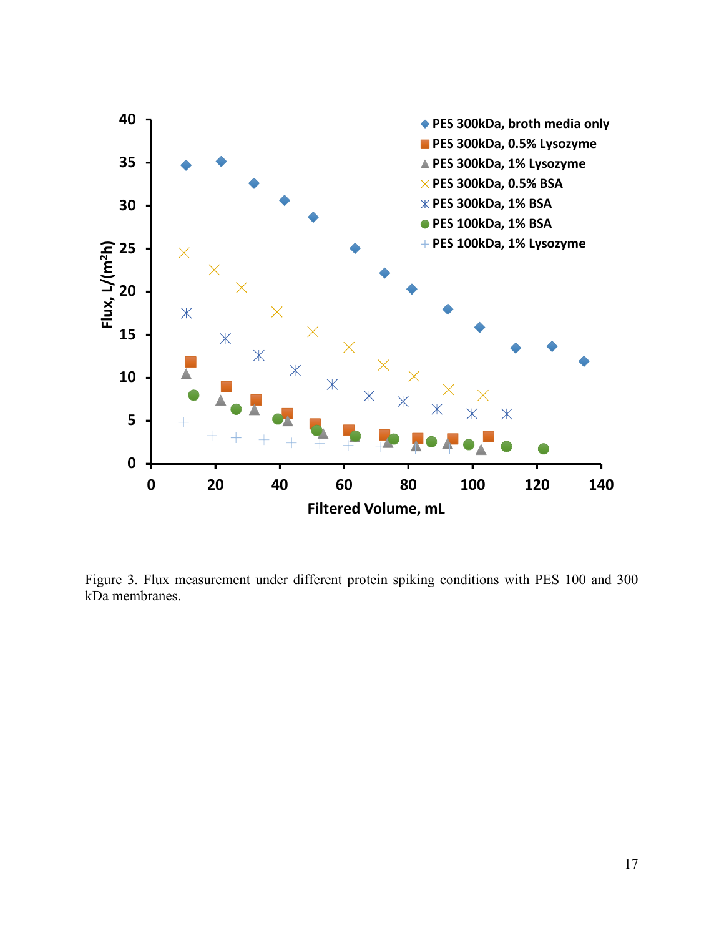

Figure 3. Flux measurement under different protein spiking conditions with PES 100 and 300 kDa membranes.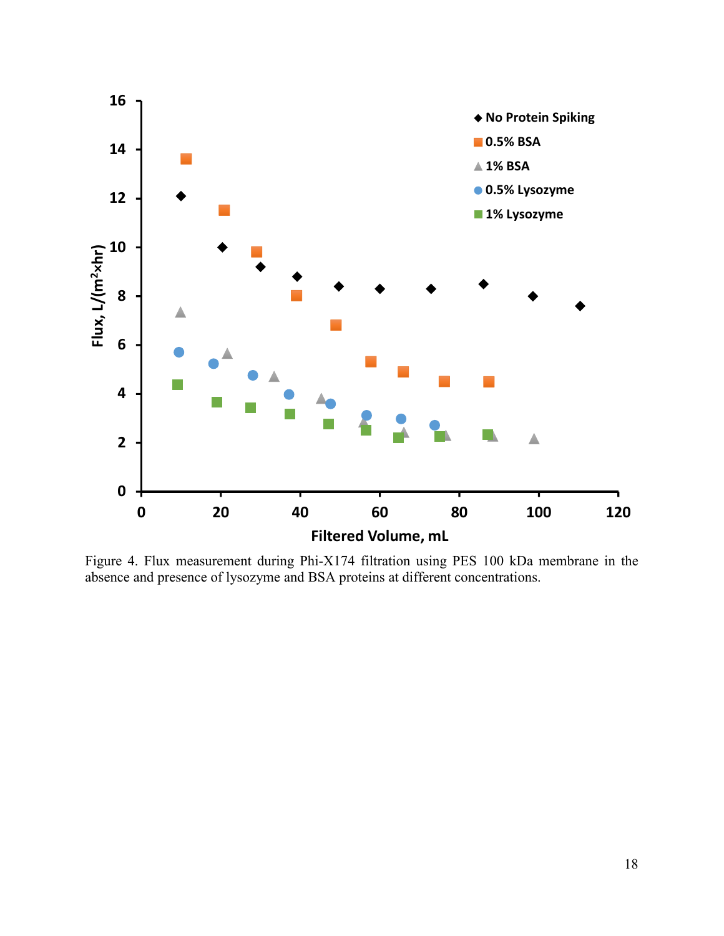

Figure 4. Flux measurement during Phi-X174 filtration using PES 100 kDa membrane in the absence and presence of lysozyme and BSA proteins at different concentrations.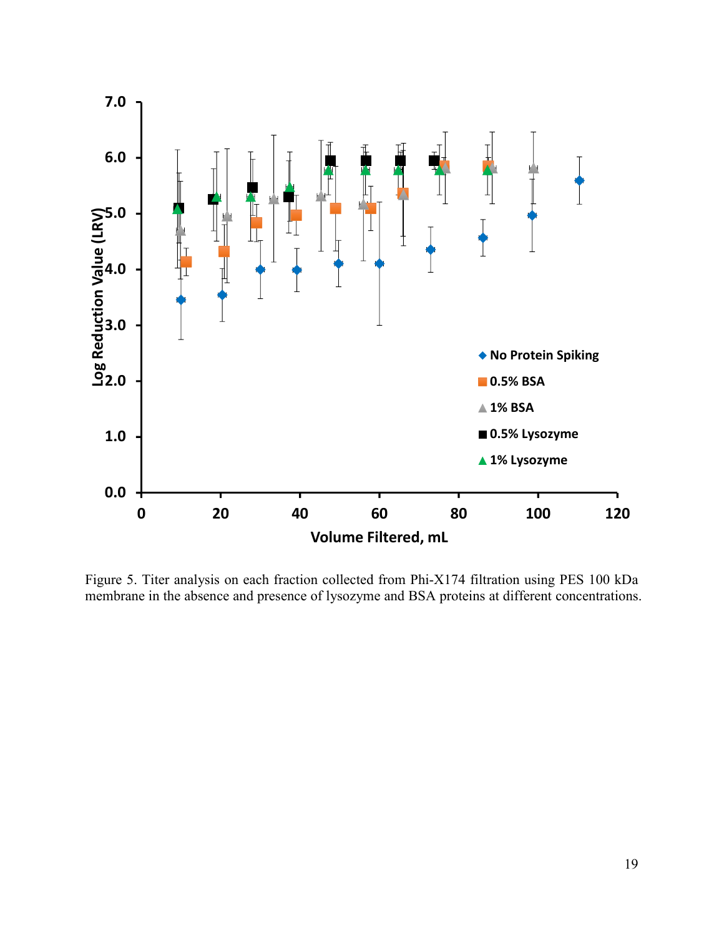

Figure 5. Titer analysis on each fraction collected from Phi-X174 filtration using PES 100 kDa membrane in the absence and presence of lysozyme and BSA proteins at different concentrations.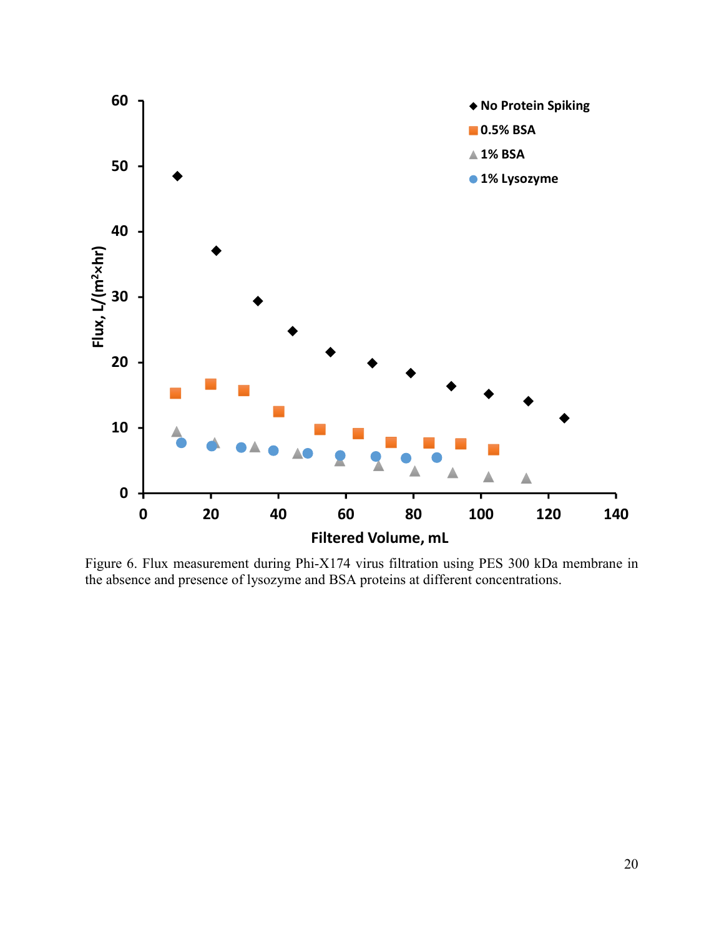

Figure 6. Flux measurement during Phi-X174 virus filtration using PES 300 kDa membrane in the absence and presence of lysozyme and BSA proteins at different concentrations.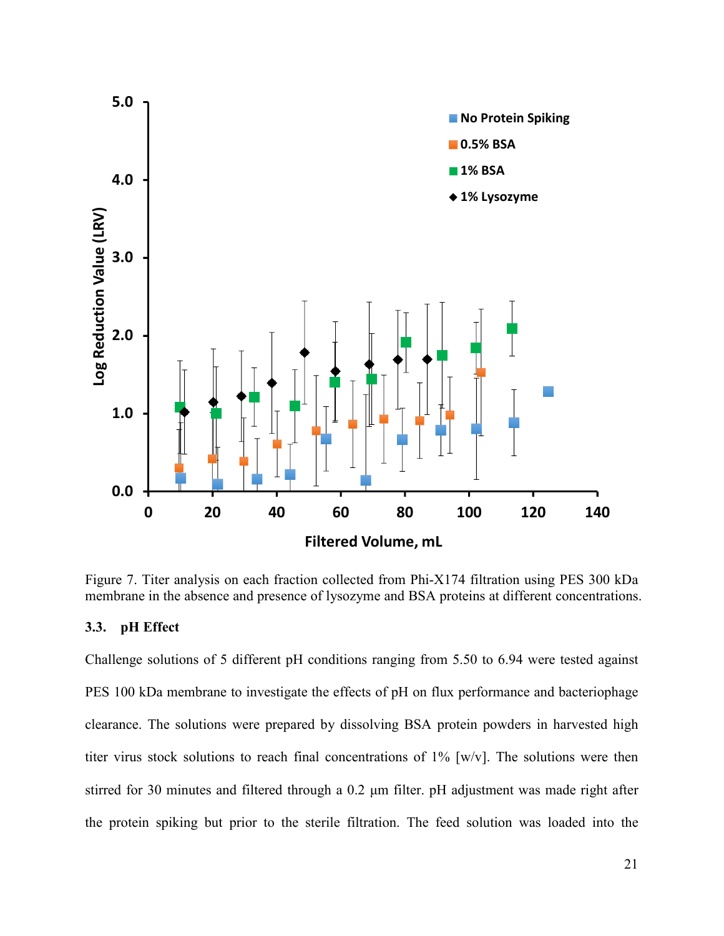

Figure 7. Titer analysis on each fraction collected from Phi-X174 filtration using PES 300 kDa membrane in the absence and presence of lysozyme and BSA proteins at different concentrations.

#### **3.3. pH Effect**

Challenge solutions of 5 different pH conditions ranging from 5.50 to 6.94 were tested against PES 100 kDa membrane to investigate the effects of pH on flux performance and bacteriophage clearance. The solutions were prepared by dissolving BSA protein powders in harvested high titer virus stock solutions to reach final concentrations of 1% [w/v]. The solutions were then stirred for 30 minutes and filtered through a 0.2 μm filter. pH adjustment was made right after the protein spiking but prior to the sterile filtration. The feed solution was loaded into the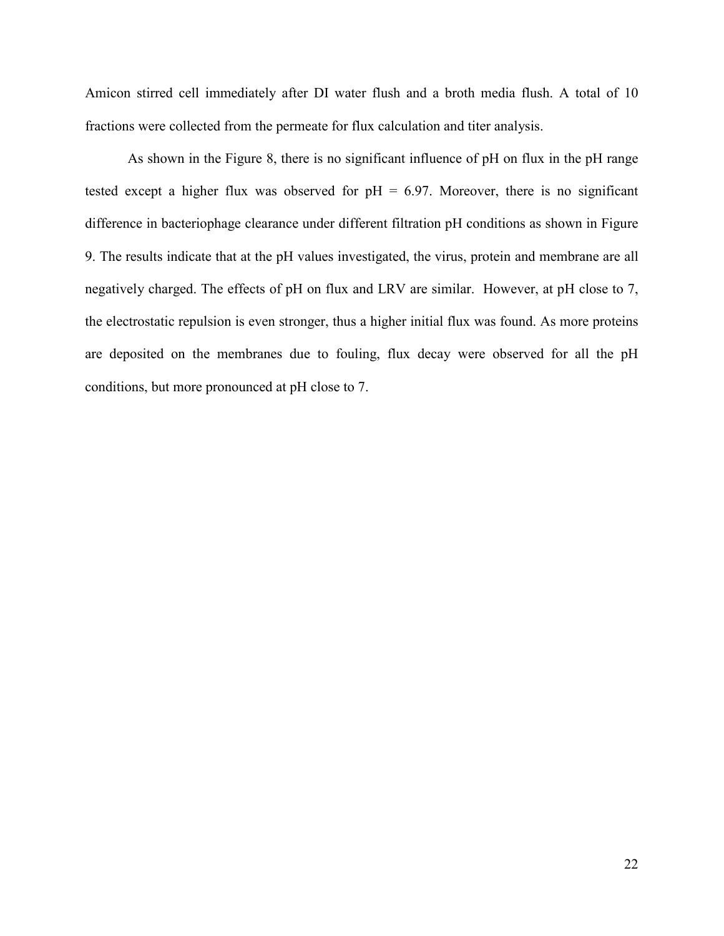Amicon stirred cell immediately after DI water flush and a broth media flush. A total of 10 fractions were collected from the permeate for flux calculation and titer analysis.

As shown in the Figure 8, there is no significant influence of pH on flux in the pH range tested except a higher flux was observed for  $pH = 6.97$ . Moreover, there is no significant difference in bacteriophage clearance under different filtration pH conditions as shown in Figure 9. The results indicate that at the pH values investigated, the virus, protein and membrane are all negatively charged. The effects of pH on flux and LRV are similar. However, at pH close to 7, the electrostatic repulsion is even stronger, thus a higher initial flux was found. As more proteins are deposited on the membranes due to fouling, flux decay were observed for all the pH conditions, but more pronounced at pH close to 7.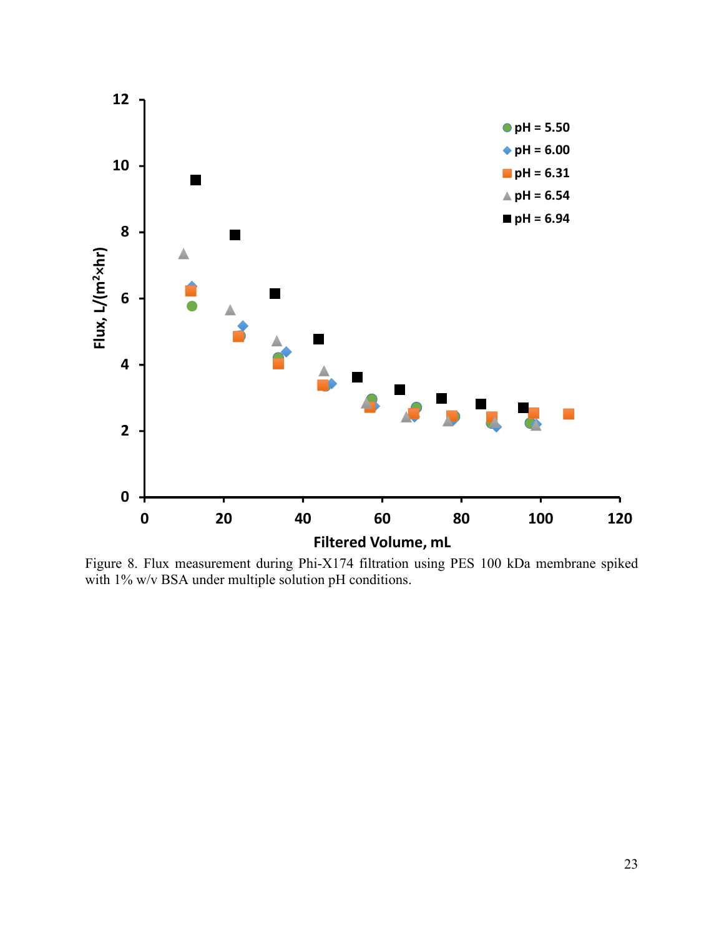

Figure 8. Flux measurement during Phi-X174 filtration using PES 100 kDa membrane spiked with 1% w/v BSA under multiple solution pH conditions.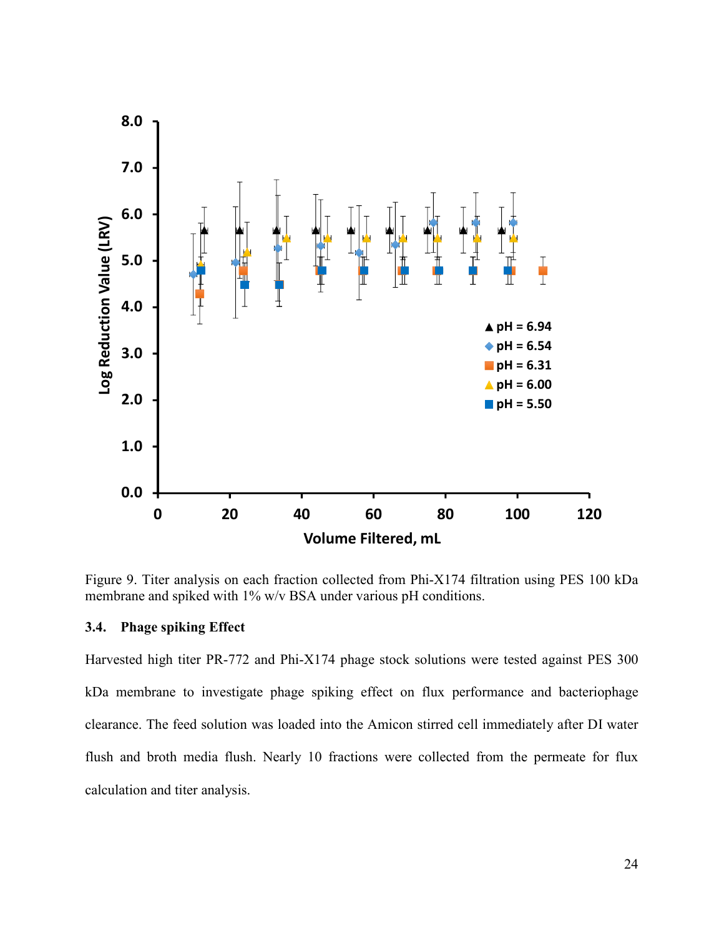

Figure 9. Titer analysis on each fraction collected from Phi-X174 filtration using PES 100 kDa membrane and spiked with 1% w/v BSA under various pH conditions.

## **3.4. Phage spiking Effect**

Harvested high titer PR-772 and Phi-X174 phage stock solutions were tested against PES 300 kDa membrane to investigate phage spiking effect on flux performance and bacteriophage clearance. The feed solution was loaded into the Amicon stirred cell immediately after DI water flush and broth media flush. Nearly 10 fractions were collected from the permeate for flux calculation and titer analysis.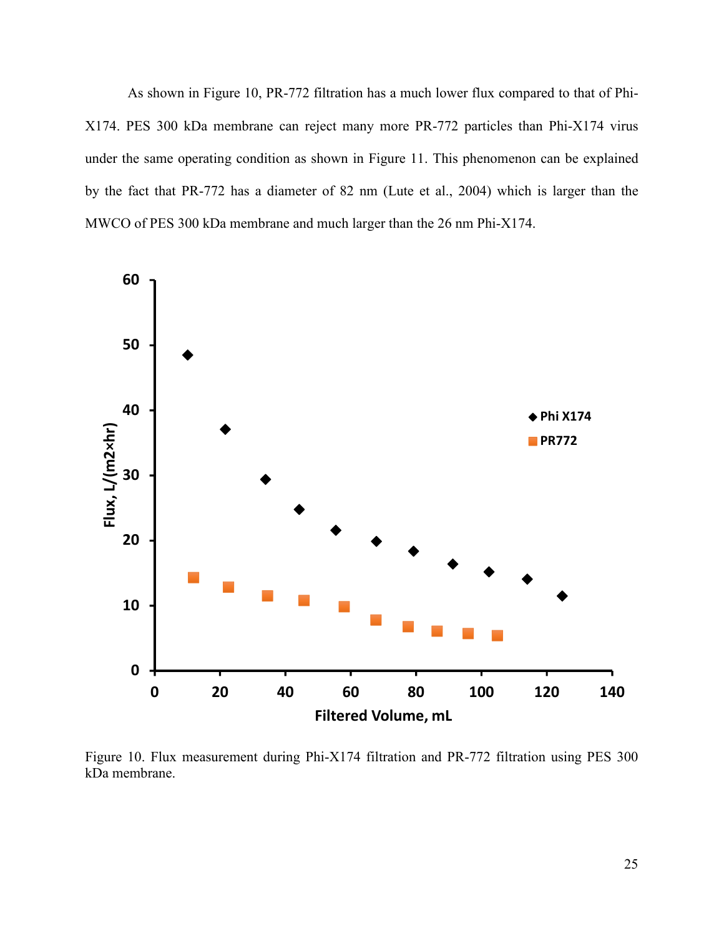As shown in Figure 10, PR-772 filtration has a much lower flux compared to that of Phi-X174. PES 300 kDa membrane can reject many more PR-772 particles than Phi-X174 virus under the same operating condition as shown in Figure 11. This phenomenon can be explained by the fact that PR-772 has a diameter of 82 nm (Lute et al., 2004) which is larger than the MWCO of PES 300 kDa membrane and much larger than the 26 nm Phi-X174.



Figure 10. Flux measurement during Phi-X174 filtration and PR-772 filtration using PES 300 kDa membrane.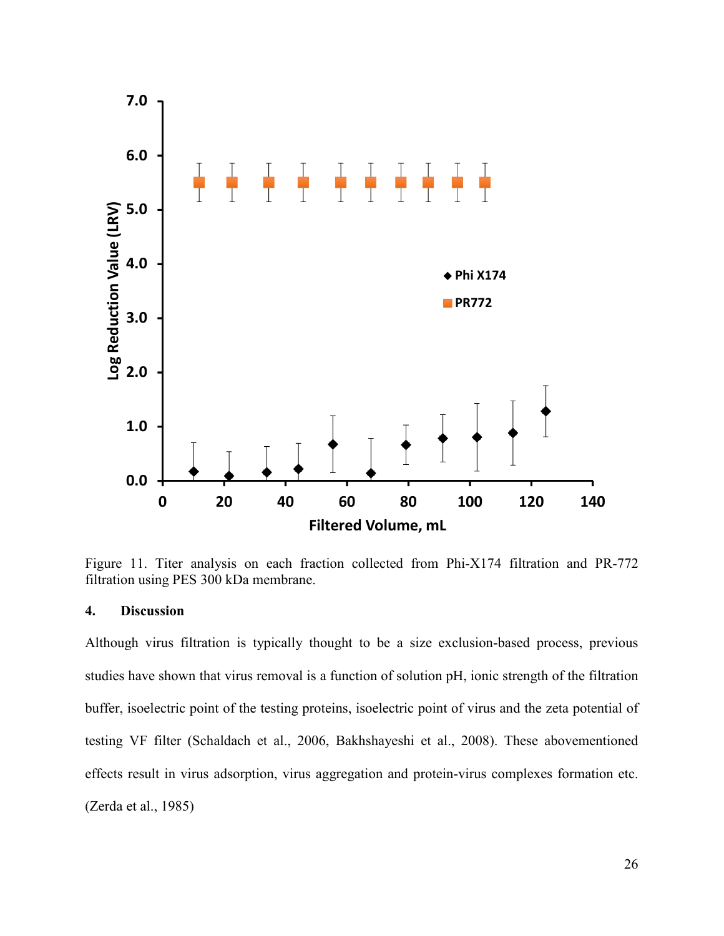

Figure 11. Titer analysis on each fraction collected from Phi-X174 filtration and PR-772 filtration using PES 300 kDa membrane.

# **4. Discussion**

Although virus filtration is typically thought to be a size exclusion-based process, previous studies have shown that virus removal is a function of solution pH, ionic strength of the filtration buffer, isoelectric point of the testing proteins, isoelectric point of virus and the zeta potential of testing VF filter (Schaldach et al., 2006, Bakhshayeshi et al., 2008). These abovementioned effects result in virus adsorption, virus aggregation and protein-virus complexes formation etc. (Zerda et al., 1985)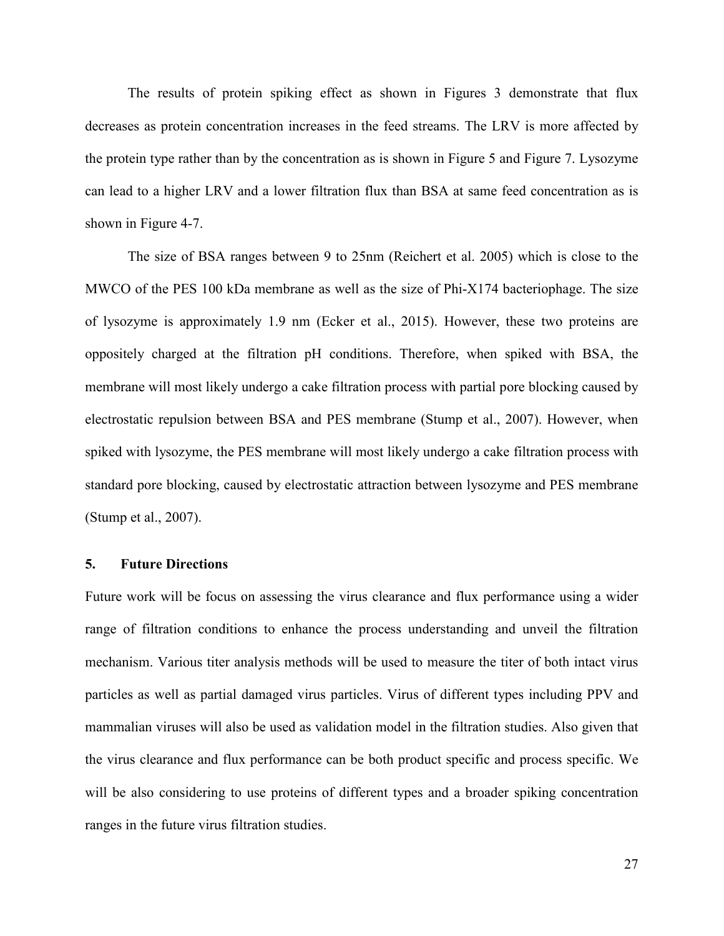The results of protein spiking effect as shown in Figures 3 demonstrate that flux decreases as protein concentration increases in the feed streams. The LRV is more affected by the protein type rather than by the concentration as is shown in Figure 5 and Figure 7. Lysozyme can lead to a higher LRV and a lower filtration flux than BSA at same feed concentration as is shown in Figure 4-7.

The size of BSA ranges between 9 to 25nm (Reichert et al. 2005) which is close to the MWCO of the PES 100 kDa membrane as well as the size of Phi-X174 bacteriophage. The size of lysozyme is approximately 1.9 nm (Ecker et al., 2015). However, these two proteins are oppositely charged at the filtration pH conditions. Therefore, when spiked with BSA, the membrane will most likely undergo a cake filtration process with partial pore blocking caused by electrostatic repulsion between BSA and PES membrane (Stump et al., 2007). However, when spiked with lysozyme, the PES membrane will most likely undergo a cake filtration process with standard pore blocking, caused by electrostatic attraction between lysozyme and PES membrane (Stump et al., 2007).

## **5. Future Directions**

Future work will be focus on assessing the virus clearance and flux performance using a wider range of filtration conditions to enhance the process understanding and unveil the filtration mechanism. Various titer analysis methods will be used to measure the titer of both intact virus particles as well as partial damaged virus particles. Virus of different types including PPV and mammalian viruses will also be used as validation model in the filtration studies. Also given that the virus clearance and flux performance can be both product specific and process specific. We will be also considering to use proteins of different types and a broader spiking concentration ranges in the future virus filtration studies.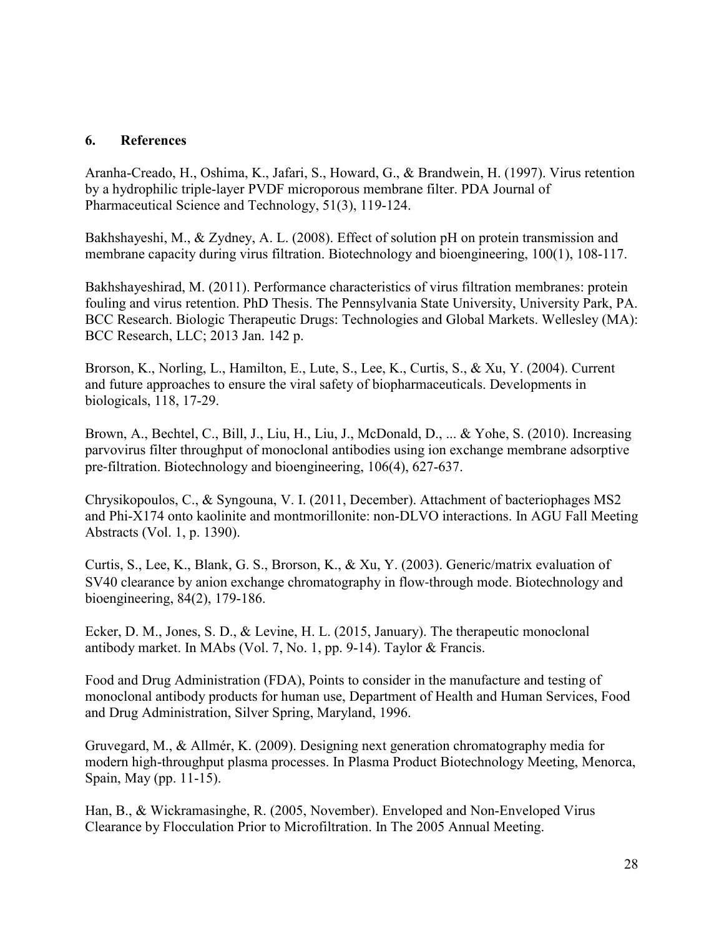# **6. References**

Aranha-Creado, H., Oshima, K., Jafari, S., Howard, G., & Brandwein, H. (1997). Virus retention by a hydrophilic triple-layer PVDF microporous membrane filter. PDA Journal of Pharmaceutical Science and Technology, 51(3), 119-124.

Bakhshayeshi, M., & Zydney, A. L. (2008). Effect of solution pH on protein transmission and membrane capacity during virus filtration. Biotechnology and bioengineering, 100(1), 108-117.

Bakhshayeshirad, M. (2011). Performance characteristics of virus filtration membranes: protein fouling and virus retention. PhD Thesis. The Pennsylvania State University, University Park, PA. BCC Research. Biologic Therapeutic Drugs: Technologies and Global Markets. Wellesley (MA): BCC Research, LLC; 2013 Jan. 142 p.

Brorson, K., Norling, L., Hamilton, E., Lute, S., Lee, K., Curtis, S., & Xu, Y. (2004). Current and future approaches to ensure the viral safety of biopharmaceuticals. Developments in biologicals, 118, 17-29.

Brown, A., Bechtel, C., Bill, J., Liu, H., Liu, J., McDonald, D., ... & Yohe, S. (2010). Increasing parvovirus filter throughput of monoclonal antibodies using ion exchange membrane adsorptive pre‐filtration. Biotechnology and bioengineering, 106(4), 627-637.

Chrysikopoulos, C., & Syngouna, V. I. (2011, December). Attachment of bacteriophages MS2 and Phi-X174 onto kaolinite and montmorillonite: non-DLVO interactions. In AGU Fall Meeting Abstracts (Vol. 1, p. 1390).

Curtis, S., Lee, K., Blank, G. S., Brorson, K., & Xu, Y. (2003). Generic/matrix evaluation of SV40 clearance by anion exchange chromatography in flow-through mode. Biotechnology and bioengineering, 84(2), 179-186.

Ecker, D. M., Jones, S. D., & Levine, H. L. (2015, January). The therapeutic monoclonal antibody market. In MAbs (Vol. 7, No. 1, pp. 9-14). Taylor & Francis.

Food and Drug Administration (FDA), Points to consider in the manufacture and testing of monoclonal antibody products for human use, Department of Health and Human Services, Food and Drug Administration, Silver Spring, Maryland, 1996.

Gruvegard, M., & Allmér, K. (2009). Designing next generation chromatography media for modern high-throughput plasma processes. In Plasma Product Biotechnology Meeting, Menorca, Spain, May (pp. 11-15).

Han, B., & Wickramasinghe, R. (2005, November). Enveloped and Non-Enveloped Virus Clearance by Flocculation Prior to Microfiltration. In The 2005 Annual Meeting.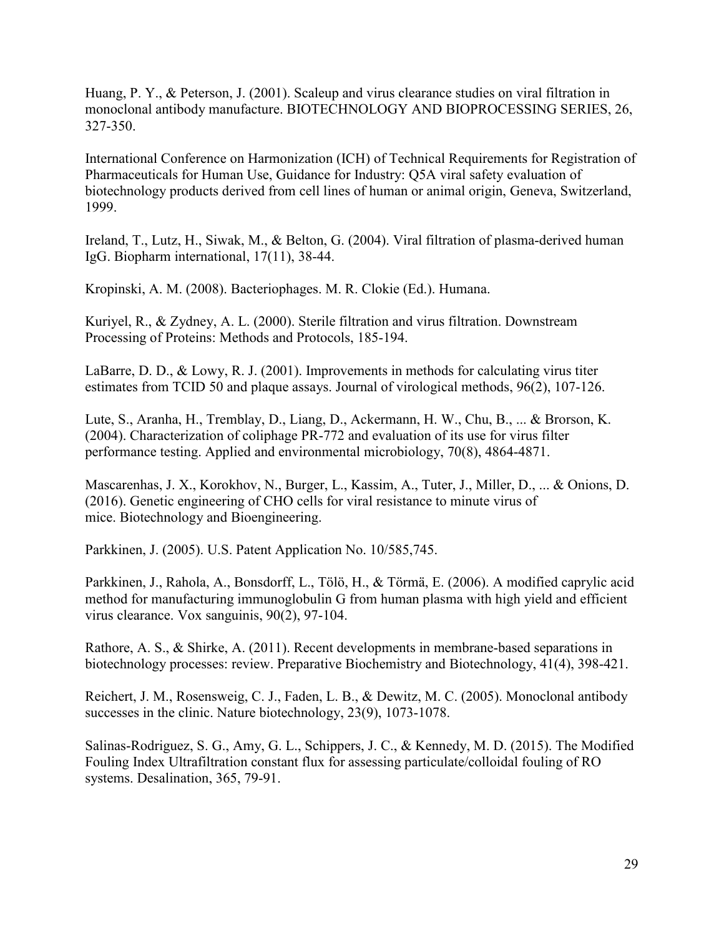Huang, P. Y., & Peterson, J. (2001). Scaleup and virus clearance studies on viral filtration in monoclonal antibody manufacture. BIOTECHNOLOGY AND BIOPROCESSING SERIES, 26, 327-350.

International Conference on Harmonization (ICH) of Technical Requirements for Registration of Pharmaceuticals for Human Use, Guidance for Industry: Q5A viral safety evaluation of biotechnology products derived from cell lines of human or animal origin, Geneva, Switzerland, 1999.

Ireland, T., Lutz, H., Siwak, M., & Belton, G. (2004). Viral filtration of plasma-derived human IgG. Biopharm international, 17(11), 38-44.

Kropinski, A. M. (2008). Bacteriophages. M. R. Clokie (Ed.). Humana.

Kuriyel, R., & Zydney, A. L. (2000). Sterile filtration and virus filtration. Downstream Processing of Proteins: Methods and Protocols, 185-194.

LaBarre, D. D., & Lowy, R. J. (2001). Improvements in methods for calculating virus titer estimates from TCID 50 and plaque assays. Journal of virological methods, 96(2), 107-126.

Lute, S., Aranha, H., Tremblay, D., Liang, D., Ackermann, H. W., Chu, B., ... & Brorson, K. (2004). Characterization of coliphage PR-772 and evaluation of its use for virus filter performance testing. Applied and environmental microbiology, 70(8), 4864-4871.

Mascarenhas, J. X., Korokhov, N., Burger, L., Kassim, A., Tuter, J., Miller, D., ... & Onions, D. (2016). Genetic engineering of CHO cells for viral resistance to minute virus of mice. Biotechnology and Bioengineering.

Parkkinen, J. (2005). U.S. Patent Application No. 10/585,745.

Parkkinen, J., Rahola, A., Bonsdorff, L., Tölö, H., & Törmä, E. (2006). A modified caprylic acid method for manufacturing immunoglobulin G from human plasma with high yield and efficient virus clearance. Vox sanguinis, 90(2), 97-104.

Rathore, A. S., & Shirke, A. (2011). Recent developments in membrane-based separations in biotechnology processes: review. Preparative Biochemistry and Biotechnology, 41(4), 398-421.

Reichert, J. M., Rosensweig, C. J., Faden, L. B., & Dewitz, M. C. (2005). Monoclonal antibody successes in the clinic. Nature biotechnology, 23(9), 1073-1078.

Salinas-Rodriguez, S. G., Amy, G. L., Schippers, J. C., & Kennedy, M. D. (2015). The Modified Fouling Index Ultrafiltration constant flux for assessing particulate/colloidal fouling of RO systems. Desalination, 365, 79-91.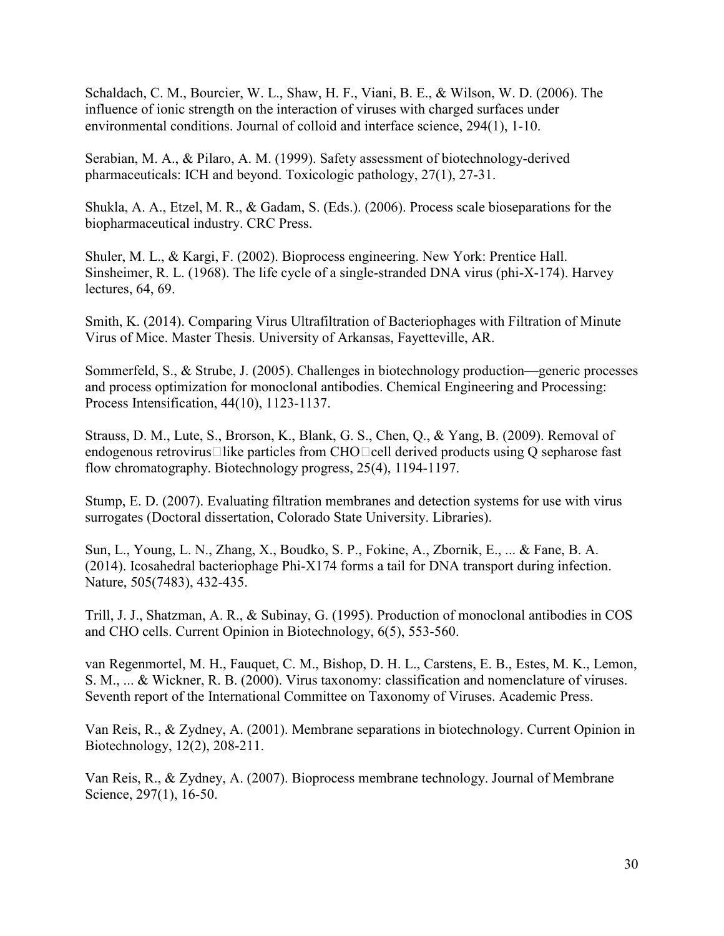Schaldach, C. M., Bourcier, W. L., Shaw, H. F., Viani, B. E., & Wilson, W. D. (2006). The influence of ionic strength on the interaction of viruses with charged surfaces under environmental conditions. Journal of colloid and interface science, 294(1), 1-10.

Serabian, M. A., & Pilaro, A. M. (1999). Safety assessment of biotechnology-derived pharmaceuticals: ICH and beyond. Toxicologic pathology, 27(1), 27-31.

Shukla, A. A., Etzel, M. R., & Gadam, S. (Eds.). (2006). Process scale bioseparations for the biopharmaceutical industry. CRC Press.

Shuler, M. L., & Kargi, F. (2002). Bioprocess engineering. New York: Prentice Hall. Sinsheimer, R. L. (1968). The life cycle of a single-stranded DNA virus (phi-X-174). Harvey lectures, 64, 69.

Smith, K. (2014). Comparing Virus Ultrafiltration of Bacteriophages with Filtration of Minute Virus of Mice. Master Thesis. University of Arkansas, Fayetteville, AR.

Sommerfeld, S., & Strube, J. (2005). Challenges in biotechnology production—generic processes and process optimization for monoclonal antibodies. Chemical Engineering and Processing: Process Intensification, 44(10), 1123-1137.

Strauss, D. M., Lute, S., Brorson, K., Blank, G. S., Chen, Q., & Yang, B. (2009). Removal of endogenous retrovirus $\Box$ like particles from CHO $\Box$ cell derived products using Q sepharose fast flow chromatography. Biotechnology progress, 25(4), 1194-1197.

Stump, E. D. (2007). Evaluating filtration membranes and detection systems for use with virus surrogates (Doctoral dissertation, Colorado State University. Libraries).

Sun, L., Young, L. N., Zhang, X., Boudko, S. P., Fokine, A., Zbornik, E., ... & Fane, B. A. (2014). Icosahedral bacteriophage Phi-X174 forms a tail for DNA transport during infection. Nature, 505(7483), 432-435.

Trill, J. J., Shatzman, A. R., & Subinay, G. (1995). Production of monoclonal antibodies in COS and CHO cells. Current Opinion in Biotechnology, 6(5), 553-560.

van Regenmortel, M. H., Fauquet, C. M., Bishop, D. H. L., Carstens, E. B., Estes, M. K., Lemon, S. M., ... & Wickner, R. B. (2000). Virus taxonomy: classification and nomenclature of viruses. Seventh report of the International Committee on Taxonomy of Viruses. Academic Press.

Van Reis, R., & Zydney, A. (2001). Membrane separations in biotechnology. Current Opinion in Biotechnology, 12(2), 208-211.

Van Reis, R., & Zydney, A. (2007). Bioprocess membrane technology. Journal of Membrane Science, 297(1), 16-50.